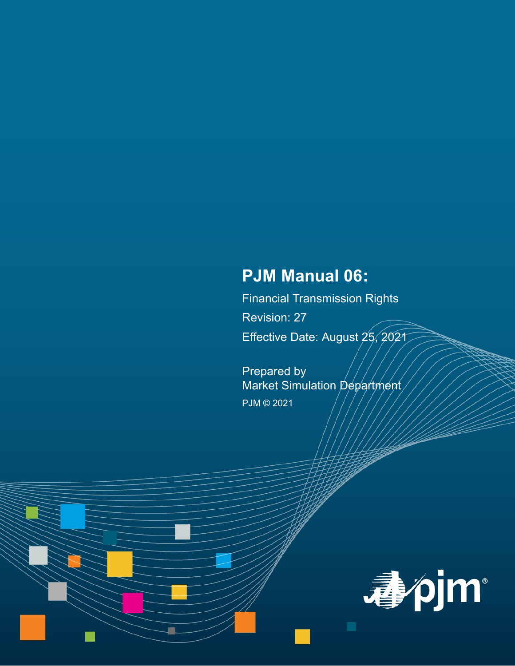# **PJM Manual 06:**

Financial Transmission Rights Revision: 27 Effective Date: August 25, 2021

Prepared by Market Simulation Department PJM © 2021

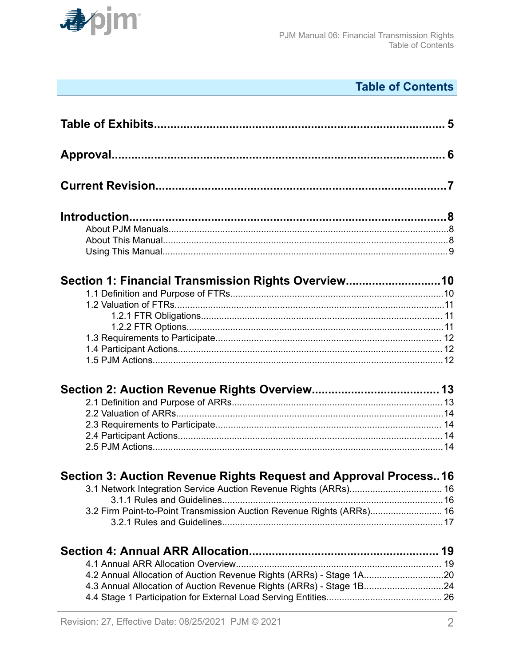

# **Table of Contents**

| Section 1: Financial Transmission Rights Overview10                   |  |
|-----------------------------------------------------------------------|--|
|                                                                       |  |
|                                                                       |  |
|                                                                       |  |
|                                                                       |  |
|                                                                       |  |
|                                                                       |  |
|                                                                       |  |
|                                                                       |  |
|                                                                       |  |
|                                                                       |  |
|                                                                       |  |
|                                                                       |  |
|                                                                       |  |
| Section 3: Auction Revenue Rights Request and Approval Process16      |  |
|                                                                       |  |
|                                                                       |  |
| 3.2 Firm Point-to-Point Transmission Auction Revenue Rights (ARRs) 16 |  |
|                                                                       |  |
|                                                                       |  |
|                                                                       |  |
| 4.2 Annual Allocation of Auction Revenue Rights (ARRs) - Stage 1A20   |  |
| 4.3 Annual Allocation of Auction Revenue Rights (ARRs) - Stage 1B24   |  |
|                                                                       |  |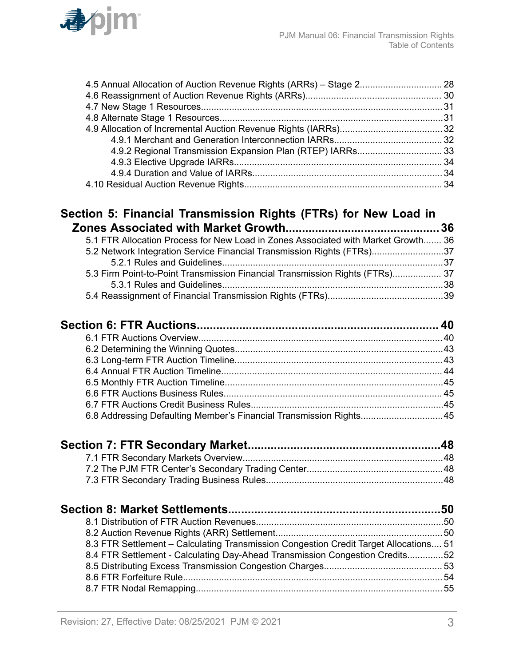

#### **[Section 5: Financial Transmission Rights \(FTRs\) for New Load in](#page-35-0) [Zones Associated with Market Growth...............................................36](#page-35-0)**

| 5.1 FTR Allocation Process for New Load in Zones Associated with Market Growth 36 |  |
|-----------------------------------------------------------------------------------|--|
| 5.2 Network Integration Service Financial Transmission Rights (FTRs)37            |  |
|                                                                                   |  |
| 5.3 Firm Point-to-Point Transmission Financial Transmission Rights (FTRs) 37      |  |
|                                                                                   |  |
|                                                                                   |  |

| 6.8 Addressing Defaulting Member's Financial Transmission Rights45 |  |
|--------------------------------------------------------------------|--|
|                                                                    |  |

| 8.3 FTR Settlement - Calculating Transmission Congestion Credit Target Allocations 51 |  |
|---------------------------------------------------------------------------------------|--|
| 8.4 FTR Settlement - Calculating Day-Ahead Transmission Congestion Credits52          |  |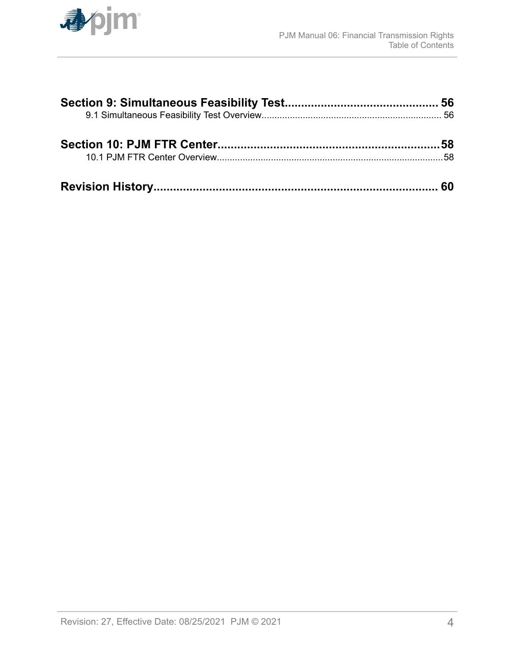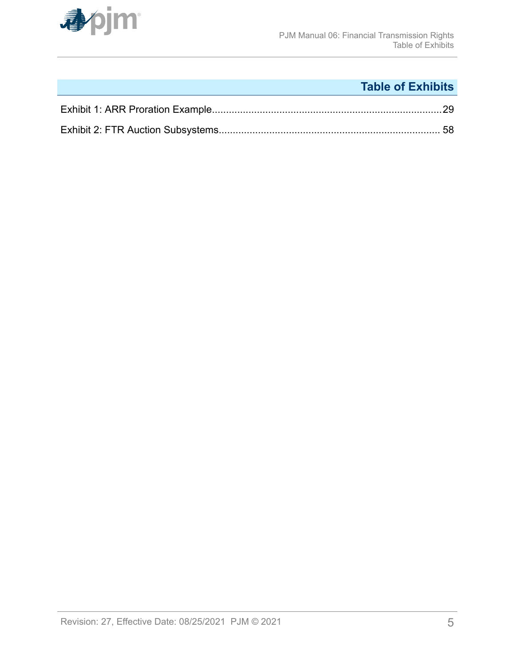<span id="page-4-0"></span>

# **Table of Exhibits**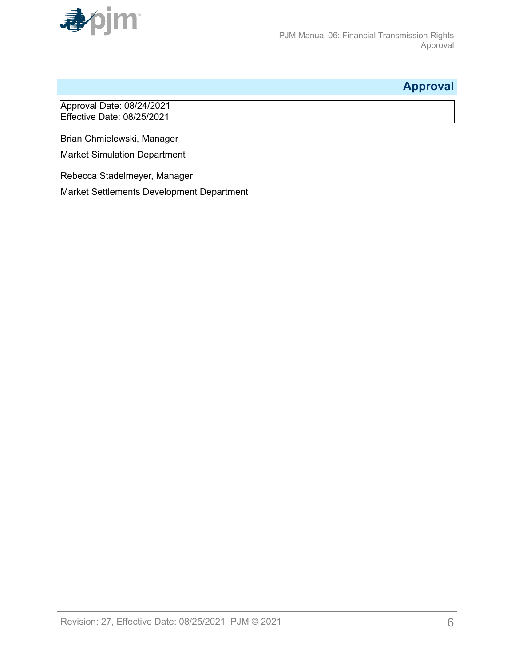<span id="page-5-0"></span>

# **Approval**

Approval Date: 08/24/2021 Effective Date: 08/25/2021

Brian Chmielewski, Manager

Market Simulation Department

Rebecca Stadelmeyer, Manager

Market Settlements Development Department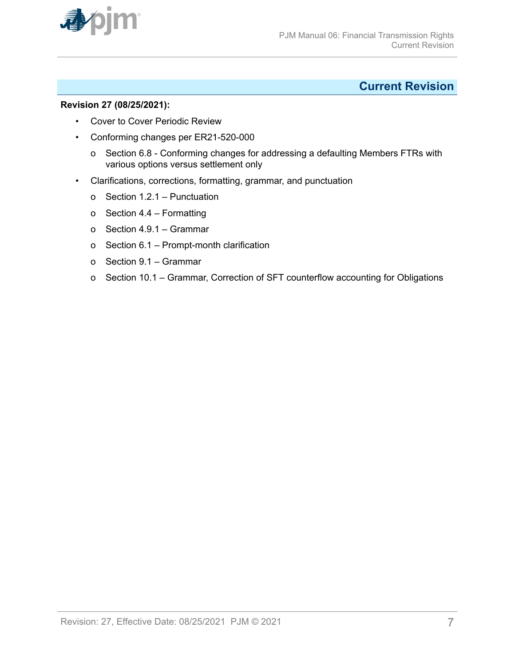<span id="page-6-0"></span>

### **Current Revision**

#### **Revision 27 (08/25/2021):**

- Cover to Cover Periodic Review
- Conforming changes per ER21-520-000
	- o Section 6.8 Conforming changes for addressing a defaulting Members FTRs with various options versus settlement only
- Clarifications, corrections, formatting, grammar, and punctuation
	- o Section 1.2.1 Punctuation
	- o Section 4.4 Formatting
	- o Section 4.9.1 Grammar
	- o Section 6.1 Prompt-month clarification
	- o Section 9.1 Grammar
	- o Section 10.1 Grammar, Correction of SFT counterflow accounting for Obligations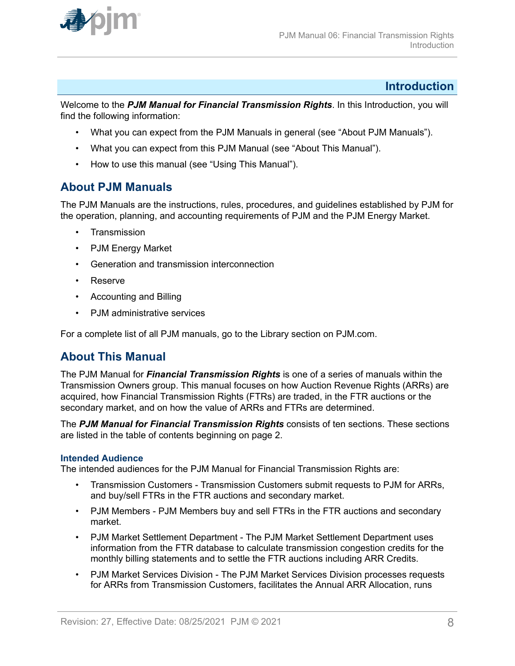<span id="page-7-0"></span>

#### **Introduction**

Welcome to the *PJM Manual for Financial Transmission Rights*. In this Introduction, you will find the following information:

- What you can expect from the PJM Manuals in general (see "About PJM Manuals").
- What you can expect from this PJM Manual (see "About This Manual").
- How to use this manual (see "Using This Manual").

### **About PJM Manuals**

The PJM Manuals are the instructions, rules, procedures, and guidelines established by PJM for the operation, planning, and accounting requirements of PJM and the PJM Energy Market.

- **Transmission**
- PJM Energy Market
- Generation and transmission interconnection
- Reserve
- Accounting and Billing
- PJM administrative services

For a complete list of all PJM manuals, go to the Library section on PJM.com.

### **About This Manual**

The PJM Manual for *Financial Transmission Rights* is one of a series of manuals within the Transmission Owners group. This manual focuses on how Auction Revenue Rights (ARRs) are acquired, how Financial Transmission Rights (FTRs) are traded, in the FTR auctions or the secondary market, and on how the value of ARRs and FTRs are determined.

The *PJM Manual for Financial Transmission Rights* consists of ten sections. These sections are listed in the table of contents beginning on page 2.

#### **Intended Audience**

The intended audiences for the PJM Manual for Financial Transmission Rights are:

- Transmission Customers Transmission Customers submit requests to PJM for ARRs, and buy/sell FTRs in the FTR auctions and secondary market.
- PJM Members PJM Members buy and sell FTRs in the FTR auctions and secondary market.
- PJM Market Settlement Department The PJM Market Settlement Department uses information from the FTR database to calculate transmission congestion credits for the monthly billing statements and to settle the FTR auctions including ARR Credits.
- PJM Market Services Division The PJM Market Services Division processes requests for ARRs from Transmission Customers, facilitates the Annual ARR Allocation, runs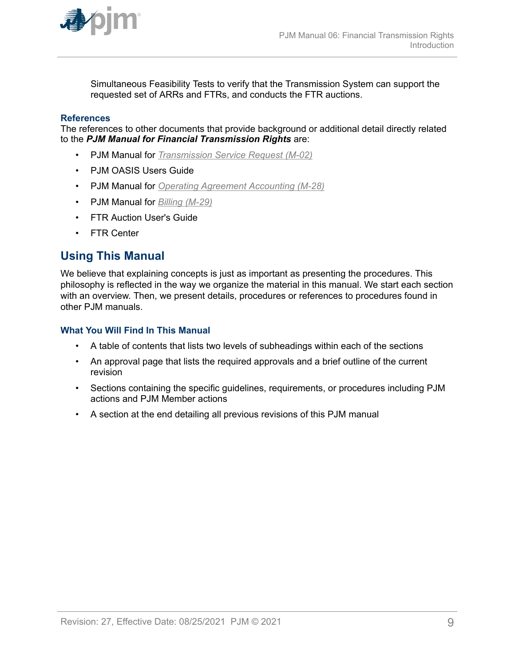<span id="page-8-0"></span>

Simultaneous Feasibility Tests to verify that the Transmission System can support the requested set of ARRs and FTRs, and conducts the FTR auctions.

#### **References**

The references to other documents that provide background or additional detail directly related to the *PJM Manual for Financial Transmission Rights* are:

- PJM Manual for *[Transmission Service Request \(M-02\)](http://www.pjm.com/~/media/documents/manuals/m02.ashx)*
- PJM OASIS Users Guide
- PJM Manual for *[Operating Agreement Accounting \(M-28\)](http://www.pjm.com/~/media/documents/manuals/m28.ashx)*
- PJM Manual for *[Billing \(M-29\)](http://www.pjm.com/~/media/documents/manuals/m29.ashx)*
- FTR Auction User's Guide
- FTR Center

### **Using This Manual**

We believe that explaining concepts is just as important as presenting the procedures. This philosophy is reflected in the way we organize the material in this manual. We start each section with an overview. Then, we present details, procedures or references to procedures found in other PJM manuals.

#### **What You Will Find In This Manual**

- A table of contents that lists two levels of subheadings within each of the sections
- An approval page that lists the required approvals and a brief outline of the current revision
- Sections containing the specific guidelines, requirements, or procedures including PJM actions and PJM Member actions
- A section at the end detailing all previous revisions of this PJM manual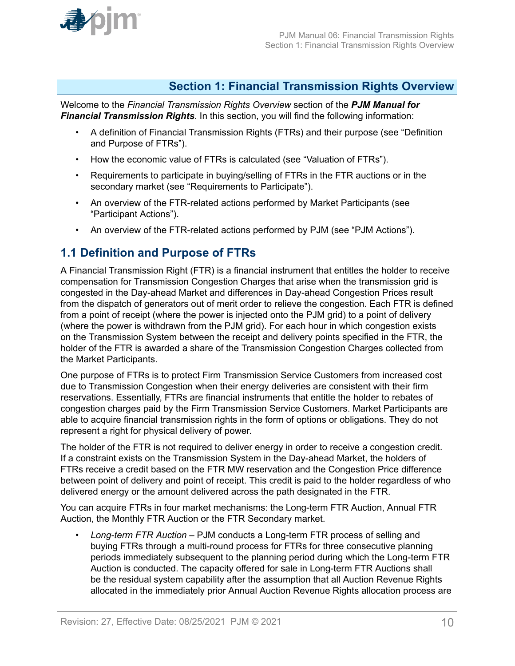<span id="page-9-0"></span>

### **Section 1: Financial Transmission Rights Overview**

Welcome to the *Financial Transmission Rights Overview* section of the *PJM Manual for Financial Transmission Rights*. In this section, you will find the following information:

- A definition of Financial Transmission Rights (FTRs) and their purpose (see "Definition and Purpose of FTRs").
- How the economic value of FTRs is calculated (see "Valuation of FTRs").
- Requirements to participate in buying/selling of FTRs in the FTR auctions or in the secondary market (see "Requirements to Participate").
- An overview of the FTR-related actions performed by Market Participants (see "Participant Actions").
- An overview of the FTR-related actions performed by PJM (see "PJM Actions").

### **1.1 Definition and Purpose of FTRs**

A Financial Transmission Right (FTR) is a financial instrument that entitles the holder to receive compensation for Transmission Congestion Charges that arise when the transmission grid is congested in the Day-ahead Market and differences in Day-ahead Congestion Prices result from the dispatch of generators out of merit order to relieve the congestion. Each FTR is defined from a point of receipt (where the power is injected onto the PJM grid) to a point of delivery (where the power is withdrawn from the PJM grid). For each hour in which congestion exists on the Transmission System between the receipt and delivery points specified in the FTR, the holder of the FTR is awarded a share of the Transmission Congestion Charges collected from the Market Participants.

One purpose of FTRs is to protect Firm Transmission Service Customers from increased cost due to Transmission Congestion when their energy deliveries are consistent with their firm reservations. Essentially, FTRs are financial instruments that entitle the holder to rebates of congestion charges paid by the Firm Transmission Service Customers. Market Participants are able to acquire financial transmission rights in the form of options or obligations. They do not represent a right for physical delivery of power.

The holder of the FTR is not required to deliver energy in order to receive a congestion credit. If a constraint exists on the Transmission System in the Day-ahead Market, the holders of FTRs receive a credit based on the FTR MW reservation and the Congestion Price difference between point of delivery and point of receipt. This credit is paid to the holder regardless of who delivered energy or the amount delivered across the path designated in the FTR.

You can acquire FTRs in four market mechanisms: the Long-term FTR Auction, Annual FTR Auction, the Monthly FTR Auction or the FTR Secondary market.

• *Long-term FTR Auction* – PJM conducts a Long-term FTR process of selling and buying FTRs through a multi-round process for FTRs for three consecutive planning periods immediately subsequent to the planning period during which the Long-term FTR Auction is conducted. The capacity offered for sale in Long-term FTR Auctions shall be the residual system capability after the assumption that all Auction Revenue Rights allocated in the immediately prior Annual Auction Revenue Rights allocation process are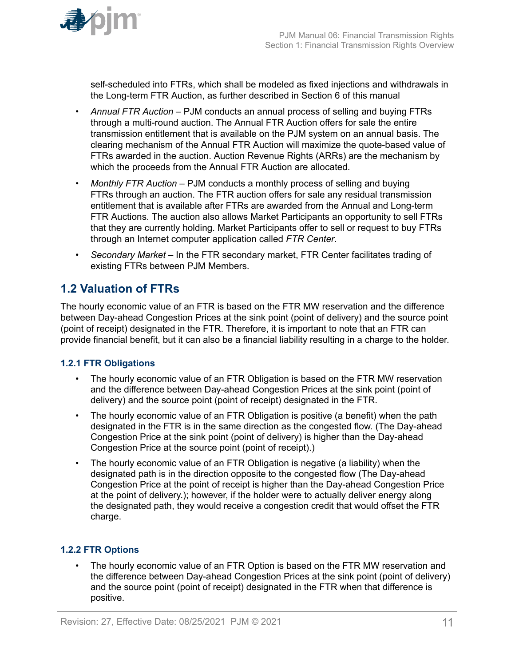<span id="page-10-0"></span>

self-scheduled into FTRs, which shall be modeled as fixed injections and withdrawals in the Long-term FTR Auction, as further described in Section 6 of this manual

- *Annual FTR Auction –* PJM conducts an annual process of selling and buying FTRs through a multi-round auction. The Annual FTR Auction offers for sale the entire transmission entitlement that is available on the PJM system on an annual basis. The clearing mechanism of the Annual FTR Auction will maximize the quote-based value of FTRs awarded in the auction. Auction Revenue Rights (ARRs) are the mechanism by which the proceeds from the Annual FTR Auction are allocated.
- *Monthly FTR Auction –* PJM conducts a monthly process of selling and buying FTRs through an auction. The FTR auction offers for sale any residual transmission entitlement that is available after FTRs are awarded from the Annual and Long-term FTR Auctions. The auction also allows Market Participants an opportunity to sell FTRs that they are currently holding. Market Participants offer to sell or request to buy FTRs through an Internet computer application called *FTR Center*.
- *Secondary Market –* In the FTR secondary market, FTR Center facilitates trading of existing FTRs between PJM Members.

### **1.2 Valuation of FTRs**

The hourly economic value of an FTR is based on the FTR MW reservation and the difference between Day-ahead Congestion Prices at the sink point (point of delivery) and the source point (point of receipt) designated in the FTR. Therefore, it is important to note that an FTR can provide financial benefit, but it can also be a financial liability resulting in a charge to the holder.

#### **1.2.1 FTR Obligations**

- The hourly economic value of an FTR Obligation is based on the FTR MW reservation and the difference between Day-ahead Congestion Prices at the sink point (point of delivery) and the source point (point of receipt) designated in the FTR.
- The hourly economic value of an FTR Obligation is positive (a benefit) when the path designated in the FTR is in the same direction as the congested flow. (The Day-ahead Congestion Price at the sink point (point of delivery) is higher than the Day-ahead Congestion Price at the source point (point of receipt).)
- The hourly economic value of an FTR Obligation is negative (a liability) when the designated path is in the direction opposite to the congested flow (The Day-ahead Congestion Price at the point of receipt is higher than the Day-ahead Congestion Price at the point of delivery.); however, if the holder were to actually deliver energy along the designated path, they would receive a congestion credit that would offset the FTR charge.

#### **1.2.2 FTR Options**

The hourly economic value of an FTR Option is based on the FTR MW reservation and the difference between Day-ahead Congestion Prices at the sink point (point of delivery) and the source point (point of receipt) designated in the FTR when that difference is positive.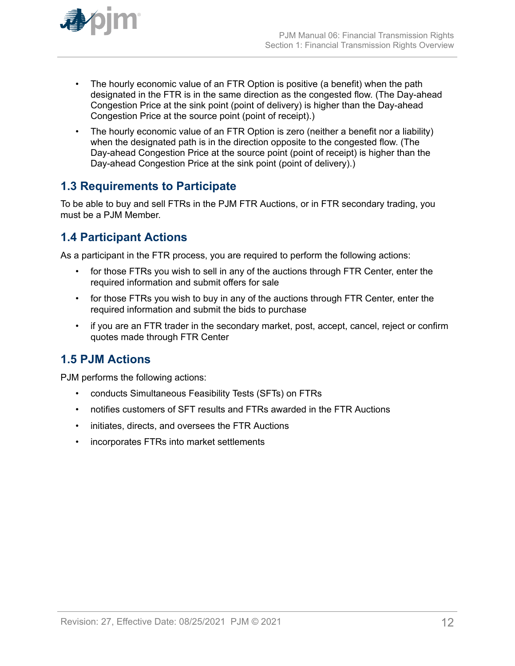<span id="page-11-0"></span>

- The hourly economic value of an FTR Option is positive (a benefit) when the path designated in the FTR is in the same direction as the congested flow. (The Day-ahead Congestion Price at the sink point (point of delivery) is higher than the Day-ahead Congestion Price at the source point (point of receipt).)
- The hourly economic value of an FTR Option is zero (neither a benefit nor a liability) when the designated path is in the direction opposite to the congested flow. (The Day-ahead Congestion Price at the source point (point of receipt) is higher than the Day-ahead Congestion Price at the sink point (point of delivery).)

### **1.3 Requirements to Participate**

To be able to buy and sell FTRs in the PJM FTR Auctions, or in FTR secondary trading, you must be a PJM Member.

### **1.4 Participant Actions**

As a participant in the FTR process, you are required to perform the following actions:

- for those FTRs you wish to sell in any of the auctions through FTR Center, enter the required information and submit offers for sale
- for those FTRs you wish to buy in any of the auctions through FTR Center, enter the required information and submit the bids to purchase
- if you are an FTR trader in the secondary market, post, accept, cancel, reject or confirm quotes made through FTR Center

# **1.5 PJM Actions**

PJM performs the following actions:

- conducts Simultaneous Feasibility Tests (SFTs) on FTRs
- notifies customers of SFT results and FTRs awarded in the FTR Auctions
- initiates, directs, and oversees the FTR Auctions
- incorporates FTRs into market settlements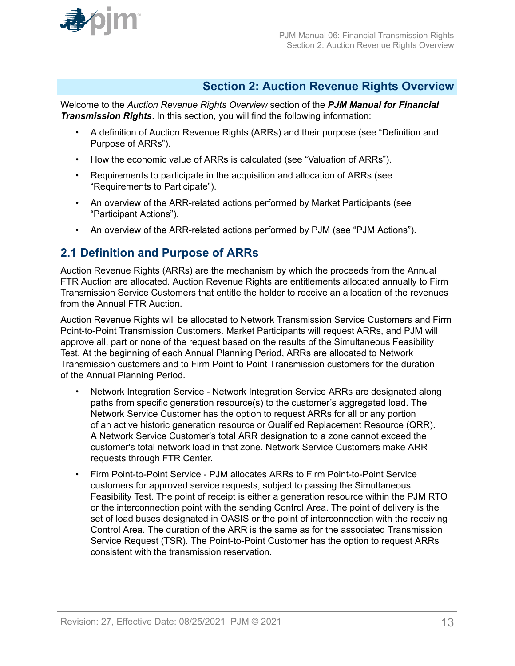<span id="page-12-0"></span>

### **Section 2: Auction Revenue Rights Overview**

Welcome to the *Auction Revenue Rights Overview* section of the *PJM Manual for Financial Transmission Rights*. In this section, you will find the following information:

- A definition of Auction Revenue Rights (ARRs) and their purpose (see "Definition and Purpose of ARRs").
- How the economic value of ARRs is calculated (see "Valuation of ARRs").
- Requirements to participate in the acquisition and allocation of ARRs (see "Requirements to Participate").
- An overview of the ARR-related actions performed by Market Participants (see "Participant Actions").
- An overview of the ARR-related actions performed by PJM (see "PJM Actions").

### **2.1 Definition and Purpose of ARRs**

Auction Revenue Rights (ARRs) are the mechanism by which the proceeds from the Annual FTR Auction are allocated. Auction Revenue Rights are entitlements allocated annually to Firm Transmission Service Customers that entitle the holder to receive an allocation of the revenues from the Annual FTR Auction.

Auction Revenue Rights will be allocated to Network Transmission Service Customers and Firm Point-to-Point Transmission Customers. Market Participants will request ARRs, and PJM will approve all, part or none of the request based on the results of the Simultaneous Feasibility Test. At the beginning of each Annual Planning Period, ARRs are allocated to Network Transmission customers and to Firm Point to Point Transmission customers for the duration of the Annual Planning Period.

- Network Integration Service Network Integration Service ARRs are designated along paths from specific generation resource(s) to the customer's aggregated load. The Network Service Customer has the option to request ARRs for all or any portion of an active historic generation resource or Qualified Replacement Resource (QRR). A Network Service Customer's total ARR designation to a zone cannot exceed the customer's total network load in that zone. Network Service Customers make ARR requests through FTR Center.
- Firm Point-to-Point Service PJM allocates ARRs to Firm Point-to-Point Service customers for approved service requests, subject to passing the Simultaneous Feasibility Test. The point of receipt is either a generation resource within the PJM RTO or the interconnection point with the sending Control Area. The point of delivery is the set of load buses designated in OASIS or the point of interconnection with the receiving Control Area. The duration of the ARR is the same as for the associated Transmission Service Request (TSR). The Point-to-Point Customer has the option to request ARRs consistent with the transmission reservation.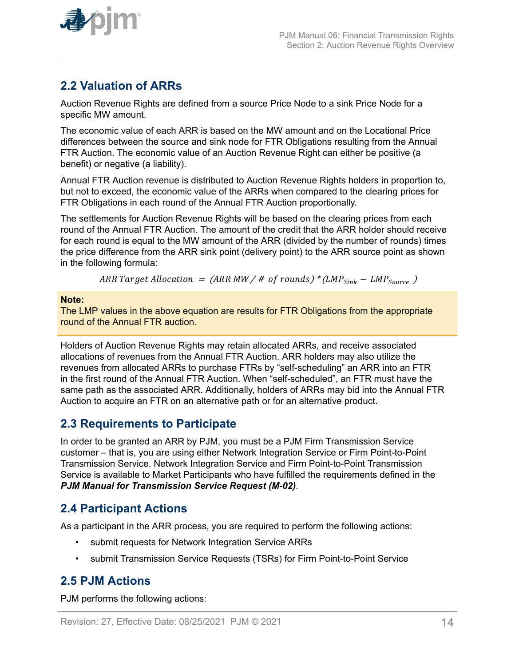<span id="page-13-0"></span>

### **2.2 Valuation of ARRs**

Auction Revenue Rights are defined from a source Price Node to a sink Price Node for a specific MW amount.

The economic value of each ARR is based on the MW amount and on the Locational Price differences between the source and sink node for FTR Obligations resulting from the Annual FTR Auction. The economic value of an Auction Revenue Right can either be positive (a benefit) or negative (a liability).

Annual FTR Auction revenue is distributed to Auction Revenue Rights holders in proportion to, but not to exceed, the economic value of the ARRs when compared to the clearing prices for FTR Obligations in each round of the Annual FTR Auction proportionally.

The settlements for Auction Revenue Rights will be based on the clearing prices from each round of the Annual FTR Auction. The amount of the credit that the ARR holder should receive for each round is equal to the MW amount of the ARR (divided by the number of rounds) times the price difference from the ARR sink point (delivery point) to the ARR source point as shown in the following formula:

ARR Target Allocation =  $(ARR MW / # of rounds)*(LMP<sub>Sink</sub> - LMP<sub>Source</sub>)$ 

#### **Note:**

The LMP values in the above equation are results for FTR Obligations from the appropriate round of the Annual FTR auction.

Holders of Auction Revenue Rights may retain allocated ARRs, and receive associated allocations of revenues from the Annual FTR Auction. ARR holders may also utilize the revenues from allocated ARRs to purchase FTRs by "self-scheduling" an ARR into an FTR in the first round of the Annual FTR Auction. When "self-scheduled", an FTR must have the same path as the associated ARR. Additionally, holders of ARRs may bid into the Annual FTR Auction to acquire an FTR on an alternative path or for an alternative product.

### **2.3 Requirements to Participate**

In order to be granted an ARR by PJM, you must be a PJM Firm Transmission Service customer – that is, you are using either Network Integration Service or Firm Point-to-Point Transmission Service. Network Integration Service and Firm Point-to-Point Transmission Service is available to Market Participants who have fulfilled the requirements defined in the *PJM Manual for Transmission Service Request (M-02)*.

### **2.4 Participant Actions**

As a participant in the ARR process, you are required to perform the following actions:

- submit requests for Network Integration Service ARRs
- submit Transmission Service Requests (TSRs) for Firm Point-to-Point Service

### **2.5 PJM Actions**

PJM performs the following actions: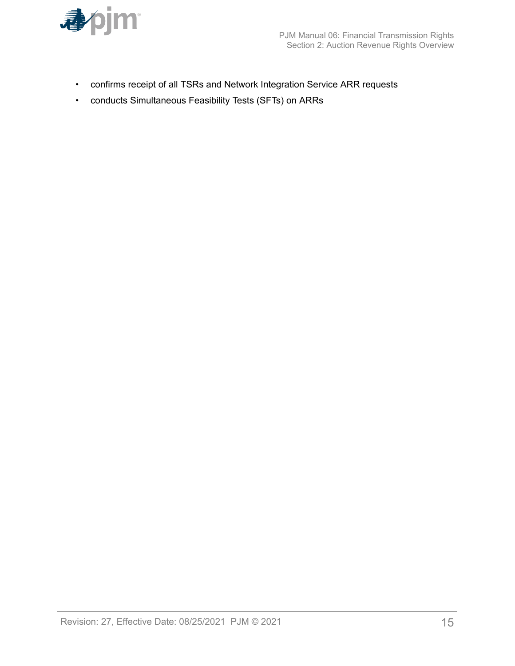

- confirms receipt of all TSRs and Network Integration Service ARR requests
- conducts Simultaneous Feasibility Tests (SFTs) on ARRs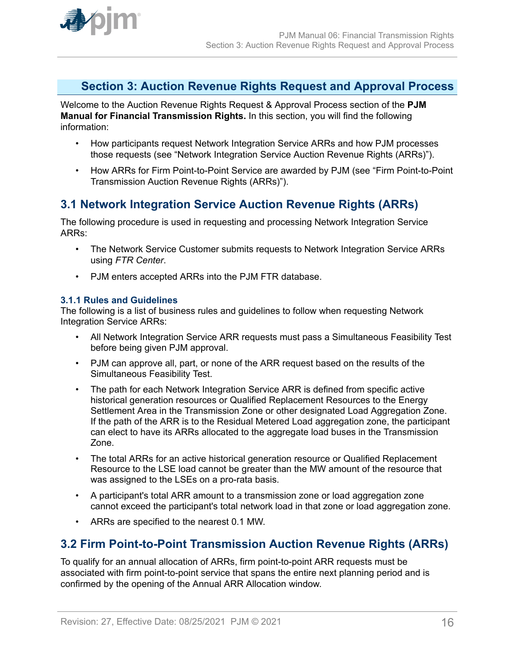<span id="page-15-0"></span>

### **Section 3: Auction Revenue Rights Request and Approval Process**

Welcome to the Auction Revenue Rights Request & Approval Process section of the **PJM Manual for Financial Transmission Rights.** In this section, you will find the following information:

- How participants request Network Integration Service ARRs and how PJM processes those requests (see "Network Integration Service Auction Revenue Rights (ARRs)").
- How ARRs for Firm Point-to-Point Service are awarded by PJM (see "Firm Point-to-Point Transmission Auction Revenue Rights (ARRs)").

# **3.1 Network Integration Service Auction Revenue Rights (ARRs)**

The following procedure is used in requesting and processing Network Integration Service ARRs:

- The Network Service Customer submits requests to Network Integration Service ARRs using *FTR Center*.
- PJM enters accepted ARRs into the PJM FTR database.

#### **3.1.1 Rules and Guidelines**

The following is a list of business rules and guidelines to follow when requesting Network Integration Service ARRs:

- All Network Integration Service ARR requests must pass a Simultaneous Feasibility Test before being given PJM approval.
- PJM can approve all, part, or none of the ARR request based on the results of the Simultaneous Feasibility Test.
- The path for each Network Integration Service ARR is defined from specific active historical generation resources or Qualified Replacement Resources to the Energy Settlement Area in the Transmission Zone or other designated Load Aggregation Zone. If the path of the ARR is to the Residual Metered Load aggregation zone, the participant can elect to have its ARRs allocated to the aggregate load buses in the Transmission Zone.
- The total ARRs for an active historical generation resource or Qualified Replacement Resource to the LSE load cannot be greater than the MW amount of the resource that was assigned to the LSEs on a pro-rata basis.
- A participant's total ARR amount to a transmission zone or load aggregation zone cannot exceed the participant's total network load in that zone or load aggregation zone.
- ARRs are specified to the nearest 0.1 MW.

### **3.2 Firm Point-to-Point Transmission Auction Revenue Rights (ARRs)**

To qualify for an annual allocation of ARRs, firm point-to-point ARR requests must be associated with firm point-to-point service that spans the entire next planning period and is confirmed by the opening of the Annual ARR Allocation window.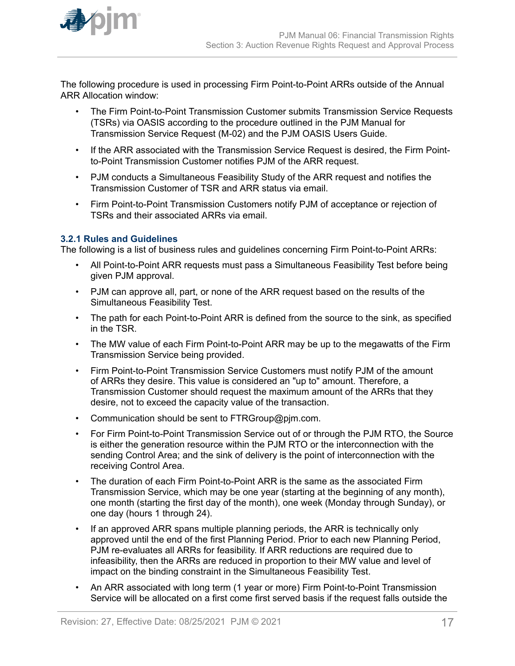<span id="page-16-0"></span>

The following procedure is used in processing Firm Point-to-Point ARRs outside of the Annual ARR Allocation window:

- The Firm Point-to-Point Transmission Customer submits Transmission Service Requests (TSRs) via OASIS according to the procedure outlined in the PJM Manual for Transmission Service Request (M-02) and the PJM OASIS Users Guide.
- If the ARR associated with the Transmission Service Request is desired, the Firm Pointto-Point Transmission Customer notifies PJM of the ARR request.
- PJM conducts a Simultaneous Feasibility Study of the ARR request and notifies the Transmission Customer of TSR and ARR status via email.
- Firm Point-to-Point Transmission Customers notify PJM of acceptance or rejection of TSRs and their associated ARRs via email.

#### **3.2.1 Rules and Guidelines**

The following is a list of business rules and guidelines concerning Firm Point-to-Point ARRs:

- All Point-to-Point ARR requests must pass a Simultaneous Feasibility Test before being given PJM approval.
- PJM can approve all, part, or none of the ARR request based on the results of the Simultaneous Feasibility Test.
- The path for each Point-to-Point ARR is defined from the source to the sink, as specified in the TSR.
- The MW value of each Firm Point-to-Point ARR may be up to the megawatts of the Firm Transmission Service being provided.
- Firm Point-to-Point Transmission Service Customers must notify PJM of the amount of ARRs they desire. This value is considered an "up to" amount. Therefore, a Transmission Customer should request the maximum amount of the ARRs that they desire, not to exceed the capacity value of the transaction.
- Communication should be sent to FTRGroup@pjm.com.
- For Firm Point-to-Point Transmission Service out of or through the PJM RTO, the Source is either the generation resource within the PJM RTO or the interconnection with the sending Control Area; and the sink of delivery is the point of interconnection with the receiving Control Area.
- The duration of each Firm Point-to-Point ARR is the same as the associated Firm Transmission Service, which may be one year (starting at the beginning of any month), one month (starting the first day of the month), one week (Monday through Sunday), or one day (hours 1 through 24).
- If an approved ARR spans multiple planning periods, the ARR is technically only approved until the end of the first Planning Period. Prior to each new Planning Period, PJM re-evaluates all ARRs for feasibility. If ARR reductions are required due to infeasibility, then the ARRs are reduced in proportion to their MW value and level of impact on the binding constraint in the Simultaneous Feasibility Test.
- An ARR associated with long term (1 year or more) Firm Point-to-Point Transmission Service will be allocated on a first come first served basis if the request falls outside the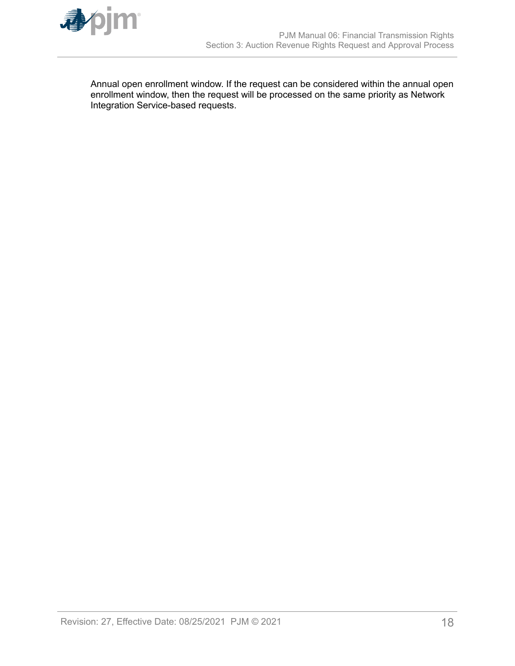

Annual open enrollment window. If the request can be considered within the annual open enrollment window, then the request will be processed on the same priority as Network Integration Service-based requests.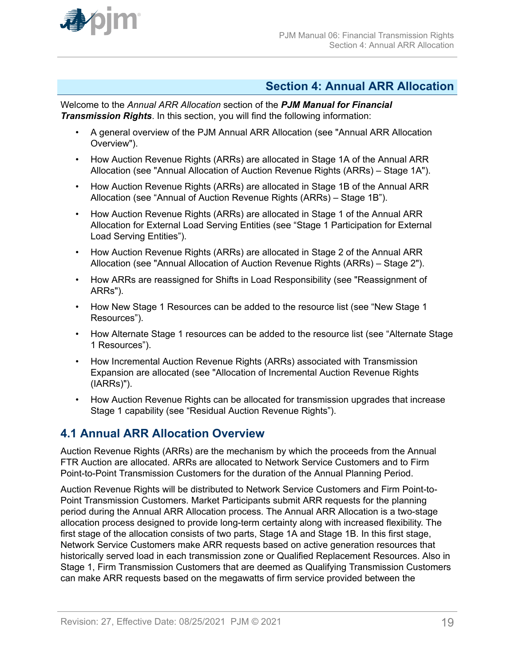<span id="page-18-0"></span>

### **Section 4: Annual ARR Allocation**

Welcome to the *Annual ARR Allocation* section of the *PJM Manual for Financial Transmission Rights*. In this section, you will find the following information:

- A general overview of the PJM Annual ARR Allocation (see "Annual ARR Allocation Overview").
- How Auction Revenue Rights (ARRs) are allocated in Stage 1A of the Annual ARR Allocation (see "Annual Allocation of Auction Revenue Rights (ARRs) – Stage 1A").
- How Auction Revenue Rights (ARRs) are allocated in Stage 1B of the Annual ARR Allocation (see "Annual of Auction Revenue Rights (ARRs) – Stage 1B").
- How Auction Revenue Rights (ARRs) are allocated in Stage 1 of the Annual ARR Allocation for External Load Serving Entities (see "Stage 1 Participation for External Load Serving Entities").
- How Auction Revenue Rights (ARRs) are allocated in Stage 2 of the Annual ARR Allocation (see "Annual Allocation of Auction Revenue Rights (ARRs) – Stage 2").
- How ARRs are reassigned for Shifts in Load Responsibility (see "Reassignment of ARRs").
- How New Stage 1 Resources can be added to the resource list (see "New Stage 1 Resources").
- How Alternate Stage 1 resources can be added to the resource list (see "Alternate Stage 1 Resources").
- How Incremental Auction Revenue Rights (ARRs) associated with Transmission Expansion are allocated (see "Allocation of Incremental Auction Revenue Rights (IARRs)").
- How Auction Revenue Rights can be allocated for transmission upgrades that increase Stage 1 capability (see "Residual Auction Revenue Rights").

### **4.1 Annual ARR Allocation Overview**

Auction Revenue Rights (ARRs) are the mechanism by which the proceeds from the Annual FTR Auction are allocated. ARRs are allocated to Network Service Customers and to Firm Point-to-Point Transmission Customers for the duration of the Annual Planning Period.

Auction Revenue Rights will be distributed to Network Service Customers and Firm Point-to-Point Transmission Customers. Market Participants submit ARR requests for the planning period during the Annual ARR Allocation process. The Annual ARR Allocation is a two-stage allocation process designed to provide long-term certainty along with increased flexibility. The first stage of the allocation consists of two parts, Stage 1A and Stage 1B. In this first stage, Network Service Customers make ARR requests based on active generation resources that historically served load in each transmission zone or Qualified Replacement Resources. Also in Stage 1, Firm Transmission Customers that are deemed as Qualifying Transmission Customers can make ARR requests based on the megawatts of firm service provided between the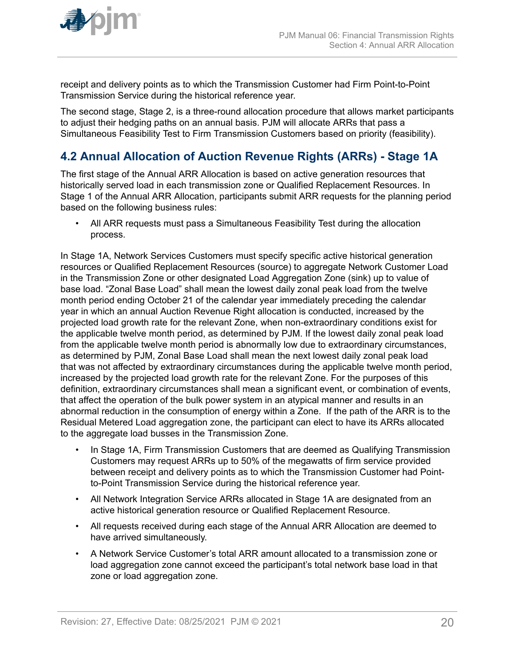<span id="page-19-0"></span>

receipt and delivery points as to which the Transmission Customer had Firm Point-to-Point Transmission Service during the historical reference year.

The second stage, Stage 2, is a three-round allocation procedure that allows market participants to adjust their hedging paths on an annual basis. PJM will allocate ARRs that pass a Simultaneous Feasibility Test to Firm Transmission Customers based on priority (feasibility).

# **4.2 Annual Allocation of Auction Revenue Rights (ARRs) - Stage 1A**

The first stage of the Annual ARR Allocation is based on active generation resources that historically served load in each transmission zone or Qualified Replacement Resources. In Stage 1 of the Annual ARR Allocation, participants submit ARR requests for the planning period based on the following business rules:

• All ARR requests must pass a Simultaneous Feasibility Test during the allocation process.

In Stage 1A, Network Services Customers must specify specific active historical generation resources or Qualified Replacement Resources (source) to aggregate Network Customer Load in the Transmission Zone or other designated Load Aggregation Zone (sink) up to value of base load. "Zonal Base Load" shall mean the lowest daily zonal peak load from the twelve month period ending October 21 of the calendar year immediately preceding the calendar year in which an annual Auction Revenue Right allocation is conducted, increased by the projected load growth rate for the relevant Zone, when non-extraordinary conditions exist for the applicable twelve month period, as determined by PJM. If the lowest daily zonal peak load from the applicable twelve month period is abnormally low due to extraordinary circumstances, as determined by PJM, Zonal Base Load shall mean the next lowest daily zonal peak load that was not affected by extraordinary circumstances during the applicable twelve month period, increased by the projected load growth rate for the relevant Zone. For the purposes of this definition, extraordinary circumstances shall mean a significant event, or combination of events, that affect the operation of the bulk power system in an atypical manner and results in an abnormal reduction in the consumption of energy within a Zone. If the path of the ARR is to the Residual Metered Load aggregation zone, the participant can elect to have its ARRs allocated to the aggregate load busses in the Transmission Zone.

- In Stage 1A, Firm Transmission Customers that are deemed as Qualifying Transmission Customers may request ARRs up to 50% of the megawatts of firm service provided between receipt and delivery points as to which the Transmission Customer had Pointto-Point Transmission Service during the historical reference year.
- All Network Integration Service ARRs allocated in Stage 1A are designated from an active historical generation resource or Qualified Replacement Resource.
- All requests received during each stage of the Annual ARR Allocation are deemed to have arrived simultaneously.
- A Network Service Customer's total ARR amount allocated to a transmission zone or load aggregation zone cannot exceed the participant's total network base load in that zone or load aggregation zone.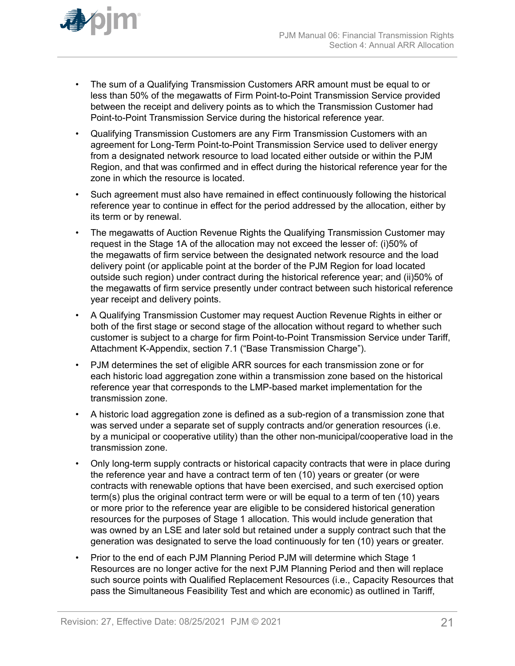

- The sum of a Qualifying Transmission Customers ARR amount must be equal to or less than 50% of the megawatts of Firm Point-to-Point Transmission Service provided between the receipt and delivery points as to which the Transmission Customer had Point-to-Point Transmission Service during the historical reference year.
- Qualifying Transmission Customers are any Firm Transmission Customers with an agreement for Long-Term Point-to-Point Transmission Service used to deliver energy from a designated network resource to load located either outside or within the PJM Region, and that was confirmed and in effect during the historical reference year for the zone in which the resource is located.
- Such agreement must also have remained in effect continuously following the historical reference year to continue in effect for the period addressed by the allocation, either by its term or by renewal.
- The megawatts of Auction Revenue Rights the Qualifying Transmission Customer may request in the Stage 1A of the allocation may not exceed the lesser of: (i)50% of the megawatts of firm service between the designated network resource and the load delivery point (or applicable point at the border of the PJM Region for load located outside such region) under contract during the historical reference year; and (ii)50% of the megawatts of firm service presently under contract between such historical reference year receipt and delivery points.
- A Qualifying Transmission Customer may request Auction Revenue Rights in either or both of the first stage or second stage of the allocation without regard to whether such customer is subject to a charge for firm Point-to-Point Transmission Service under Tariff, Attachment K-Appendix, section 7.1 ("Base Transmission Charge").
- PJM determines the set of eligible ARR sources for each transmission zone or for each historic load aggregation zone within a transmission zone based on the historical reference year that corresponds to the LMP-based market implementation for the transmission zone.
- A historic load aggregation zone is defined as a sub-region of a transmission zone that was served under a separate set of supply contracts and/or generation resources (i.e. by a municipal or cooperative utility) than the other non-municipal/cooperative load in the transmission zone.
- Only long-term supply contracts or historical capacity contracts that were in place during the reference year and have a contract term of ten (10) years or greater (or were contracts with renewable options that have been exercised, and such exercised option term(s) plus the original contract term were or will be equal to a term of ten (10) years or more prior to the reference year are eligible to be considered historical generation resources for the purposes of Stage 1 allocation. This would include generation that was owned by an LSE and later sold but retained under a supply contract such that the generation was designated to serve the load continuously for ten (10) years or greater.
- Prior to the end of each PJM Planning Period PJM will determine which Stage 1 Resources are no longer active for the next PJM Planning Period and then will replace such source points with Qualified Replacement Resources (i.e., Capacity Resources that pass the Simultaneous Feasibility Test and which are economic) as outlined in Tariff,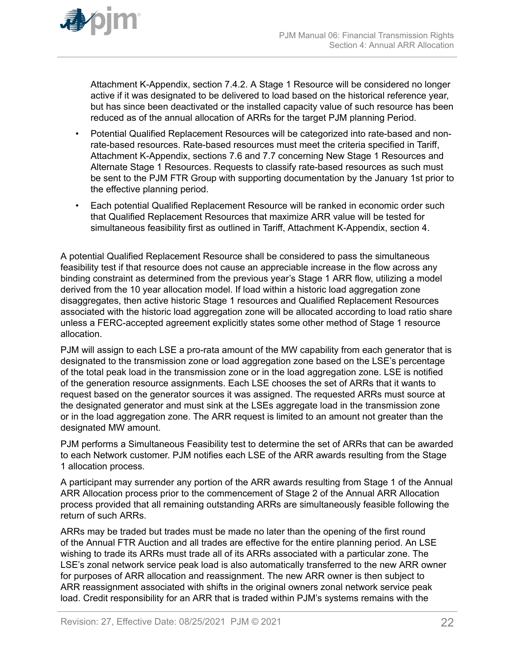

Attachment K-Appendix, section 7.4.2. A Stage 1 Resource will be considered no longer active if it was designated to be delivered to load based on the historical reference year, but has since been deactivated or the installed capacity value of such resource has been reduced as of the annual allocation of ARRs for the target PJM planning Period.

- Potential Qualified Replacement Resources will be categorized into rate-based and nonrate-based resources. Rate-based resources must meet the criteria specified in Tariff, Attachment K-Appendix, sections 7.6 and 7.7 concerning New Stage 1 Resources and Alternate Stage 1 Resources. Requests to classify rate-based resources as such must be sent to the PJM FTR Group with supporting documentation by the January 1st prior to the effective planning period.
- Each potential Qualified Replacement Resource will be ranked in economic order such that Qualified Replacement Resources that maximize ARR value will be tested for simultaneous feasibility first as outlined in Tariff, Attachment K-Appendix, section 4.

A potential Qualified Replacement Resource shall be considered to pass the simultaneous feasibility test if that resource does not cause an appreciable increase in the flow across any binding constraint as determined from the previous year's Stage 1 ARR flow, utilizing a model derived from the 10 year allocation model. If load within a historic load aggregation zone disaggregates, then active historic Stage 1 resources and Qualified Replacement Resources associated with the historic load aggregation zone will be allocated according to load ratio share unless a FERC-accepted agreement explicitly states some other method of Stage 1 resource allocation.

PJM will assign to each LSE a pro-rata amount of the MW capability from each generator that is designated to the transmission zone or load aggregation zone based on the LSE's percentage of the total peak load in the transmission zone or in the load aggregation zone. LSE is notified of the generation resource assignments. Each LSE chooses the set of ARRs that it wants to request based on the generator sources it was assigned. The requested ARRs must source at the designated generator and must sink at the LSEs aggregate load in the transmission zone or in the load aggregation zone. The ARR request is limited to an amount not greater than the designated MW amount.

PJM performs a Simultaneous Feasibility test to determine the set of ARRs that can be awarded to each Network customer. PJM notifies each LSE of the ARR awards resulting from the Stage 1 allocation process.

A participant may surrender any portion of the ARR awards resulting from Stage 1 of the Annual ARR Allocation process prior to the commencement of Stage 2 of the Annual ARR Allocation process provided that all remaining outstanding ARRs are simultaneously feasible following the return of such ARRs.

ARRs may be traded but trades must be made no later than the opening of the first round of the Annual FTR Auction and all trades are effective for the entire planning period. An LSE wishing to trade its ARRs must trade all of its ARRs associated with a particular zone. The LSE's zonal network service peak load is also automatically transferred to the new ARR owner for purposes of ARR allocation and reassignment. The new ARR owner is then subject to ARR reassignment associated with shifts in the original owners zonal network service peak load. Credit responsibility for an ARR that is traded within PJM's systems remains with the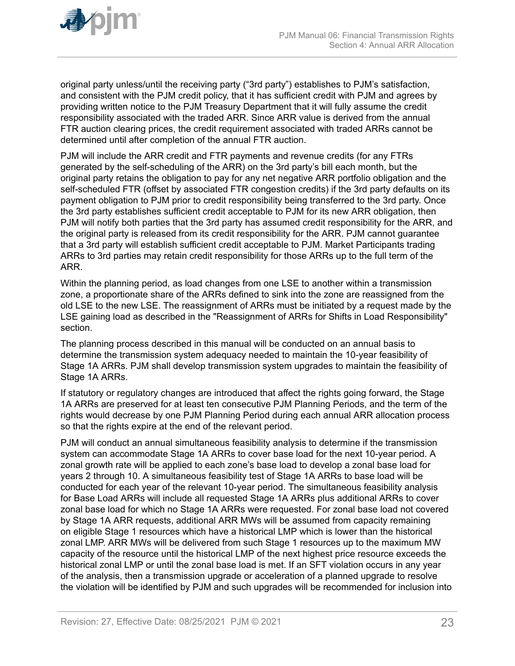original party unless/until the receiving party ("3rd party") establishes to PJM's satisfaction, and consistent with the PJM credit policy, that it has sufficient credit with PJM and agrees by providing written notice to the PJM Treasury Department that it will fully assume the credit responsibility associated with the traded ARR. Since ARR value is derived from the annual FTR auction clearing prices, the credit requirement associated with traded ARRs cannot be determined until after completion of the annual FTR auction.

PJM will include the ARR credit and FTR payments and revenue credits (for any FTRs generated by the self-scheduling of the ARR) on the 3rd party's bill each month, but the original party retains the obligation to pay for any net negative ARR portfolio obligation and the self-scheduled FTR (offset by associated FTR congestion credits) if the 3rd party defaults on its payment obligation to PJM prior to credit responsibility being transferred to the 3rd party. Once the 3rd party establishes sufficient credit acceptable to PJM for its new ARR obligation, then PJM will notify both parties that the 3rd party has assumed credit responsibility for the ARR, and the original party is released from its credit responsibility for the ARR. PJM cannot guarantee that a 3rd party will establish sufficient credit acceptable to PJM. Market Participants trading ARRs to 3rd parties may retain credit responsibility for those ARRs up to the full term of the ARR.

Within the planning period, as load changes from one LSE to another within a transmission zone, a proportionate share of the ARRs defined to sink into the zone are reassigned from the old LSE to the new LSE. The reassignment of ARRs must be initiated by a request made by the LSE gaining load as described in the "Reassignment of ARRs for Shifts in Load Responsibility" section.

The planning process described in this manual will be conducted on an annual basis to determine the transmission system adequacy needed to maintain the 10-year feasibility of Stage 1A ARRs. PJM shall develop transmission system upgrades to maintain the feasibility of Stage 1A ARRs.

If statutory or regulatory changes are introduced that affect the rights going forward, the Stage 1A ARRs are preserved for at least ten consecutive PJM Planning Periods, and the term of the rights would decrease by one PJM Planning Period during each annual ARR allocation process so that the rights expire at the end of the relevant period.

PJM will conduct an annual simultaneous feasibility analysis to determine if the transmission system can accommodate Stage 1A ARRs to cover base load for the next 10-year period. A zonal growth rate will be applied to each zone's base load to develop a zonal base load for years 2 through 10. A simultaneous feasibility test of Stage 1A ARRs to base load will be conducted for each year of the relevant 10-year period. The simultaneous feasibility analysis for Base Load ARRs will include all requested Stage 1A ARRs plus additional ARRs to cover zonal base load for which no Stage 1A ARRs were requested. For zonal base load not covered by Stage 1A ARR requests, additional ARR MWs will be assumed from capacity remaining on eligible Stage 1 resources which have a historical LMP which is lower than the historical zonal LMP. ARR MWs will be delivered from such Stage 1 resources up to the maximum MW capacity of the resource until the historical LMP of the next highest price resource exceeds the historical zonal LMP or until the zonal base load is met. If an SFT violation occurs in any year of the analysis, then a transmission upgrade or acceleration of a planned upgrade to resolve the violation will be identified by PJM and such upgrades will be recommended for inclusion into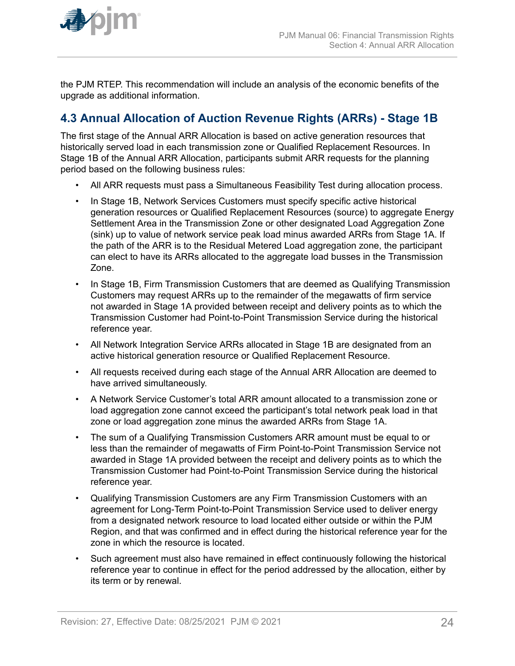<span id="page-23-0"></span>

the PJM RTEP. This recommendation will include an analysis of the economic benefits of the upgrade as additional information.

# **4.3 Annual Allocation of Auction Revenue Rights (ARRs) - Stage 1B**

The first stage of the Annual ARR Allocation is based on active generation resources that historically served load in each transmission zone or Qualified Replacement Resources. In Stage 1B of the Annual ARR Allocation, participants submit ARR requests for the planning period based on the following business rules:

- All ARR requests must pass a Simultaneous Feasibility Test during allocation process.
- In Stage 1B, Network Services Customers must specify specific active historical generation resources or Qualified Replacement Resources (source) to aggregate Energy Settlement Area in the Transmission Zone or other designated Load Aggregation Zone (sink) up to value of network service peak load minus awarded ARRs from Stage 1A. If the path of the ARR is to the Residual Metered Load aggregation zone, the participant can elect to have its ARRs allocated to the aggregate load busses in the Transmission Zone.
- In Stage 1B, Firm Transmission Customers that are deemed as Qualifying Transmission Customers may request ARRs up to the remainder of the megawatts of firm service not awarded in Stage 1A provided between receipt and delivery points as to which the Transmission Customer had Point-to-Point Transmission Service during the historical reference year.
- All Network Integration Service ARRs allocated in Stage 1B are designated from an active historical generation resource or Qualified Replacement Resource.
- All requests received during each stage of the Annual ARR Allocation are deemed to have arrived simultaneously.
- A Network Service Customer's total ARR amount allocated to a transmission zone or load aggregation zone cannot exceed the participant's total network peak load in that zone or load aggregation zone minus the awarded ARRs from Stage 1A.
- The sum of a Qualifying Transmission Customers ARR amount must be equal to or less than the remainder of megawatts of Firm Point-to-Point Transmission Service not awarded in Stage 1A provided between the receipt and delivery points as to which the Transmission Customer had Point-to-Point Transmission Service during the historical reference year.
- Qualifying Transmission Customers are any Firm Transmission Customers with an agreement for Long-Term Point-to-Point Transmission Service used to deliver energy from a designated network resource to load located either outside or within the PJM Region, and that was confirmed and in effect during the historical reference year for the zone in which the resource is located.
- Such agreement must also have remained in effect continuously following the historical reference year to continue in effect for the period addressed by the allocation, either by its term or by renewal.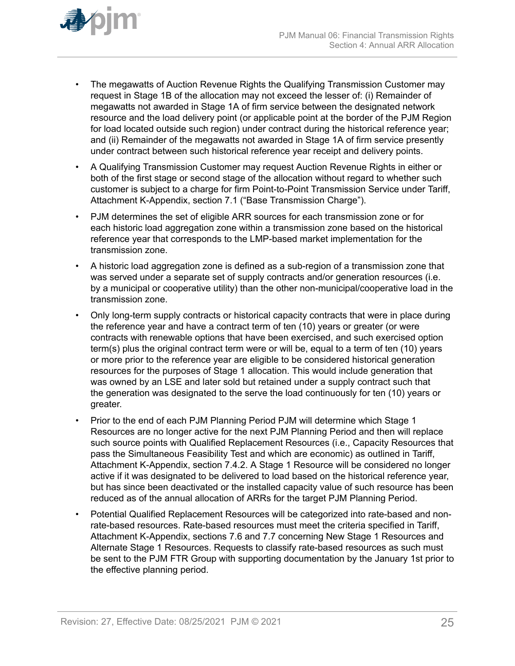

- The megawatts of Auction Revenue Rights the Qualifying Transmission Customer may request in Stage 1B of the allocation may not exceed the lesser of: (i) Remainder of megawatts not awarded in Stage 1A of firm service between the designated network resource and the load delivery point (or applicable point at the border of the PJM Region for load located outside such region) under contract during the historical reference year; and (ii) Remainder of the megawatts not awarded in Stage 1A of firm service presently under contract between such historical reference year receipt and delivery points.
- A Qualifying Transmission Customer may request Auction Revenue Rights in either or both of the first stage or second stage of the allocation without regard to whether such customer is subject to a charge for firm Point-to-Point Transmission Service under Tariff, Attachment K-Appendix, section 7.1 ("Base Transmission Charge").
- PJM determines the set of eligible ARR sources for each transmission zone or for each historic load aggregation zone within a transmission zone based on the historical reference year that corresponds to the LMP-based market implementation for the transmission zone.
- A historic load aggregation zone is defined as a sub-region of a transmission zone that was served under a separate set of supply contracts and/or generation resources (i.e. by a municipal or cooperative utility) than the other non-municipal/cooperative load in the transmission zone.
- Only long-term supply contracts or historical capacity contracts that were in place during the reference year and have a contract term of ten (10) years or greater (or were contracts with renewable options that have been exercised, and such exercised option term(s) plus the original contract term were or will be, equal to a term of ten (10) years or more prior to the reference year are eligible to be considered historical generation resources for the purposes of Stage 1 allocation. This would include generation that was owned by an LSE and later sold but retained under a supply contract such that the generation was designated to the serve the load continuously for ten (10) years or greater.
- Prior to the end of each PJM Planning Period PJM will determine which Stage 1 Resources are no longer active for the next PJM Planning Period and then will replace such source points with Qualified Replacement Resources (i.e., Capacity Resources that pass the Simultaneous Feasibility Test and which are economic) as outlined in Tariff, Attachment K-Appendix, section 7.4.2. A Stage 1 Resource will be considered no longer active if it was designated to be delivered to load based on the historical reference year, but has since been deactivated or the installed capacity value of such resource has been reduced as of the annual allocation of ARRs for the target PJM Planning Period.
- Potential Qualified Replacement Resources will be categorized into rate-based and nonrate-based resources. Rate-based resources must meet the criteria specified in Tariff, Attachment K-Appendix, sections 7.6 and 7.7 concerning New Stage 1 Resources and Alternate Stage 1 Resources. Requests to classify rate-based resources as such must be sent to the PJM FTR Group with supporting documentation by the January 1st prior to the effective planning period.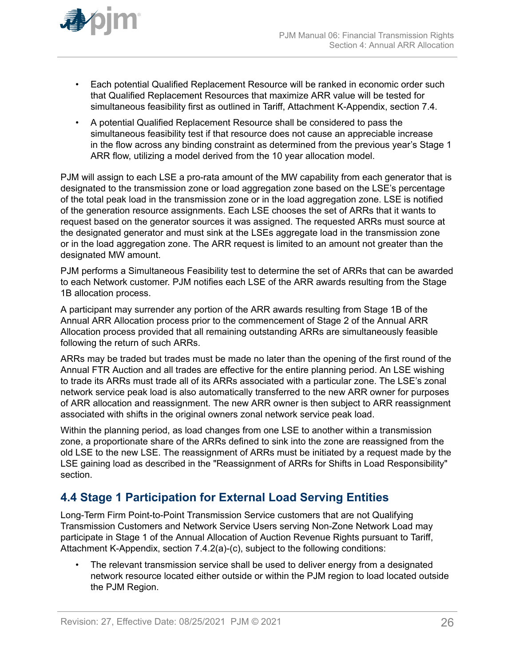<span id="page-25-0"></span>

- Each potential Qualified Replacement Resource will be ranked in economic order such that Qualified Replacement Resources that maximize ARR value will be tested for simultaneous feasibility first as outlined in Tariff, Attachment K-Appendix, section 7.4.
- A potential Qualified Replacement Resource shall be considered to pass the simultaneous feasibility test if that resource does not cause an appreciable increase in the flow across any binding constraint as determined from the previous year's Stage 1 ARR flow, utilizing a model derived from the 10 year allocation model.

PJM will assign to each LSE a pro-rata amount of the MW capability from each generator that is designated to the transmission zone or load aggregation zone based on the LSE's percentage of the total peak load in the transmission zone or in the load aggregation zone. LSE is notified of the generation resource assignments. Each LSE chooses the set of ARRs that it wants to request based on the generator sources it was assigned. The requested ARRs must source at the designated generator and must sink at the LSEs aggregate load in the transmission zone or in the load aggregation zone. The ARR request is limited to an amount not greater than the designated MW amount.

PJM performs a Simultaneous Feasibility test to determine the set of ARRs that can be awarded to each Network customer. PJM notifies each LSE of the ARR awards resulting from the Stage 1B allocation process.

A participant may surrender any portion of the ARR awards resulting from Stage 1B of the Annual ARR Allocation process prior to the commencement of Stage 2 of the Annual ARR Allocation process provided that all remaining outstanding ARRs are simultaneously feasible following the return of such ARRs.

ARRs may be traded but trades must be made no later than the opening of the first round of the Annual FTR Auction and all trades are effective for the entire planning period. An LSE wishing to trade its ARRs must trade all of its ARRs associated with a particular zone. The LSE's zonal network service peak load is also automatically transferred to the new ARR owner for purposes of ARR allocation and reassignment. The new ARR owner is then subject to ARR reassignment associated with shifts in the original owners zonal network service peak load.

Within the planning period, as load changes from one LSE to another within a transmission zone, a proportionate share of the ARRs defined to sink into the zone are reassigned from the old LSE to the new LSE. The reassignment of ARRs must be initiated by a request made by the LSE gaining load as described in the "Reassignment of ARRs for Shifts in Load Responsibility" section.

# **4.4 Stage 1 Participation for External Load Serving Entities**

Long-Term Firm Point-to-Point Transmission Service customers that are not Qualifying Transmission Customers and Network Service Users serving Non-Zone Network Load may participate in Stage 1 of the Annual Allocation of Auction Revenue Rights pursuant to Tariff, Attachment K-Appendix, section 7.4.2(a)-(c), subject to the following conditions:

The relevant transmission service shall be used to deliver energy from a designated network resource located either outside or within the PJM region to load located outside the PJM Region.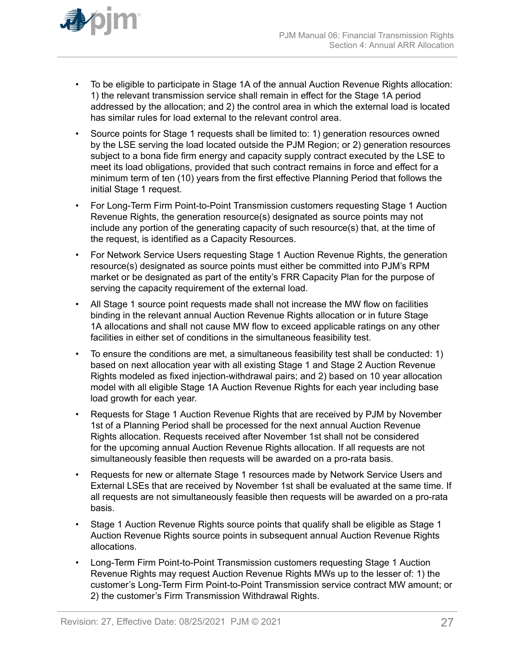

- To be eligible to participate in Stage 1A of the annual Auction Revenue Rights allocation: 1) the relevant transmission service shall remain in effect for the Stage 1A period addressed by the allocation; and 2) the control area in which the external load is located has similar rules for load external to the relevant control area.
- Source points for Stage 1 requests shall be limited to: 1) generation resources owned by the LSE serving the load located outside the PJM Region; or 2) generation resources subject to a bona fide firm energy and capacity supply contract executed by the LSE to meet its load obligations, provided that such contract remains in force and effect for a minimum term of ten (10) years from the first effective Planning Period that follows the initial Stage 1 request.
- For Long-Term Firm Point-to-Point Transmission customers requesting Stage 1 Auction Revenue Rights, the generation resource(s) designated as source points may not include any portion of the generating capacity of such resource(s) that, at the time of the request, is identified as a Capacity Resources.
- For Network Service Users requesting Stage 1 Auction Revenue Rights, the generation resource(s) designated as source points must either be committed into PJM's RPM market or be designated as part of the entity's FRR Capacity Plan for the purpose of serving the capacity requirement of the external load.
- All Stage 1 source point requests made shall not increase the MW flow on facilities binding in the relevant annual Auction Revenue Rights allocation or in future Stage 1A allocations and shall not cause MW flow to exceed applicable ratings on any other facilities in either set of conditions in the simultaneous feasibility test.
- To ensure the conditions are met, a simultaneous feasibility test shall be conducted: 1) based on next allocation year with all existing Stage 1 and Stage 2 Auction Revenue Rights modeled as fixed injection-withdrawal pairs; and 2) based on 10 year allocation model with all eligible Stage 1A Auction Revenue Rights for each year including base load growth for each year.
- Requests for Stage 1 Auction Revenue Rights that are received by PJM by November 1st of a Planning Period shall be processed for the next annual Auction Revenue Rights allocation. Requests received after November 1st shall not be considered for the upcoming annual Auction Revenue Rights allocation. If all requests are not simultaneously feasible then requests will be awarded on a pro-rata basis.
- Requests for new or alternate Stage 1 resources made by Network Service Users and External LSEs that are received by November 1st shall be evaluated at the same time. If all requests are not simultaneously feasible then requests will be awarded on a pro-rata basis.
- Stage 1 Auction Revenue Rights source points that qualify shall be eligible as Stage 1 Auction Revenue Rights source points in subsequent annual Auction Revenue Rights allocations.
- Long-Term Firm Point-to-Point Transmission customers requesting Stage 1 Auction Revenue Rights may request Auction Revenue Rights MWs up to the lesser of: 1) the customer's Long-Term Firm Point-to-Point Transmission service contract MW amount; or 2) the customer's Firm Transmission Withdrawal Rights.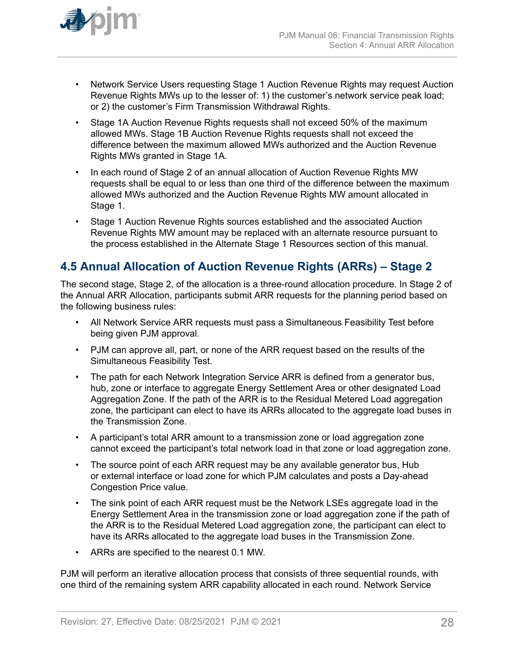<span id="page-27-0"></span>

- Network Service Users requesting Stage 1 Auction Revenue Rights may request Auction Revenue Rights MWs up to the lesser of: 1) the customer's network service peak load; or 2) the customer's Firm Transmission Withdrawal Rights.
- Stage 1A Auction Revenue Rights requests shall not exceed 50% of the maximum allowed MWs. Stage 1B Auction Revenue Rights requests shall not exceed the difference between the maximum allowed MWs authorized and the Auction Revenue Rights MWs granted in Stage 1A.
- In each round of Stage 2 of an annual allocation of Auction Revenue Rights MW requests shall be equal to or less than one third of the difference between the maximum allowed MWs authorized and the Auction Revenue Rights MW amount allocated in Stage 1.
- Stage 1 Auction Revenue Rights sources established and the associated Auction Revenue Rights MW amount may be replaced with an alternate resource pursuant to the process established in the Alternate Stage 1 Resources section of this manual.

# **4.5 Annual Allocation of Auction Revenue Rights (ARRs) – Stage 2**

The second stage, Stage 2, of the allocation is a three-round allocation procedure. In Stage 2 of the Annual ARR Allocation, participants submit ARR requests for the planning period based on the following business rules:

- All Network Service ARR requests must pass a Simultaneous Feasibility Test before being given PJM approval.
- PJM can approve all, part, or none of the ARR request based on the results of the Simultaneous Feasibility Test.
- The path for each Network Integration Service ARR is defined from a generator bus, hub, zone or interface to aggregate Energy Settlement Area or other designated Load Aggregation Zone. If the path of the ARR is to the Residual Metered Load aggregation zone, the participant can elect to have its ARRs allocated to the aggregate load buses in the Transmission Zone.
- A participant's total ARR amount to a transmission zone or load aggregation zone cannot exceed the participant's total network load in that zone or load aggregation zone.
- The source point of each ARR request may be any available generator bus, Hub or external interface or load zone for which PJM calculates and posts a Day-ahead Congestion Price value.
- The sink point of each ARR request must be the Network LSEs aggregate load in the Energy Settlement Area in the transmission zone or load aggregation zone if the path of the ARR is to the Residual Metered Load aggregation zone, the participant can elect to have its ARRs allocated to the aggregate load buses in the Transmission Zone.
- ARRs are specified to the nearest 0.1 MW.

PJM will perform an iterative allocation process that consists of three sequential rounds, with one third of the remaining system ARR capability allocated in each round. Network Service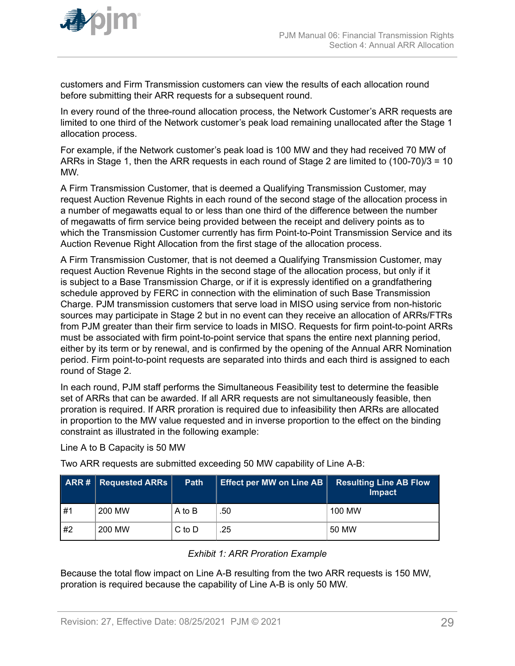<span id="page-28-0"></span>

customers and Firm Transmission customers can view the results of each allocation round before submitting their ARR requests for a subsequent round.

In every round of the three-round allocation process, the Network Customer's ARR requests are limited to one third of the Network customer's peak load remaining unallocated after the Stage 1 allocation process.

For example, if the Network customer's peak load is 100 MW and they had received 70 MW of ARRs in Stage 1, then the ARR requests in each round of Stage 2 are limited to (100-70)/3 = 10 MW.

A Firm Transmission Customer, that is deemed a Qualifying Transmission Customer, may request Auction Revenue Rights in each round of the second stage of the allocation process in a number of megawatts equal to or less than one third of the difference between the number of megawatts of firm service being provided between the receipt and delivery points as to which the Transmission Customer currently has firm Point-to-Point Transmission Service and its Auction Revenue Right Allocation from the first stage of the allocation process.

A Firm Transmission Customer, that is not deemed a Qualifying Transmission Customer, may request Auction Revenue Rights in the second stage of the allocation process, but only if it is subject to a Base Transmission Charge, or if it is expressly identified on a grandfathering schedule approved by FERC in connection with the elimination of such Base Transmission Charge. PJM transmission customers that serve load in MISO using service from non-historic sources may participate in Stage 2 but in no event can they receive an allocation of ARRs/FTRs from PJM greater than their firm service to loads in MISO. Requests for firm point-to-point ARRs must be associated with firm point-to-point service that spans the entire next planning period, either by its term or by renewal, and is confirmed by the opening of the Annual ARR Nomination period. Firm point-to-point requests are separated into thirds and each third is assigned to each round of Stage 2.

In each round, PJM staff performs the Simultaneous Feasibility test to determine the feasible set of ARRs that can be awarded. If all ARR requests are not simultaneously feasible, then proration is required. If ARR proration is required due to infeasibility then ARRs are allocated in proportion to the MW value requested and in inverse proportion to the effect on the binding constraint as illustrated in the following example:

Line A to B Capacity is 50 MW

Two ARR requests are submitted exceeding 50 MW capability of Line A-B:

|    | <b>ARR#</b> Requested ARRs | Path       | <b>Effect per MW on Line AB</b> | <b>Resulting Line AB Flow</b><br><b>Impact</b> |
|----|----------------------------|------------|---------------------------------|------------------------------------------------|
| #1 | 200 MW                     | A to B     | .50                             | 100 MW                                         |
| #2 | 200 MW                     | $C$ to $D$ | .25                             | 50 MW                                          |

#### *Exhibit 1: ARR Proration Example*

Because the total flow impact on Line A-B resulting from the two ARR requests is 150 MW, proration is required because the capability of Line A-B is only 50 MW.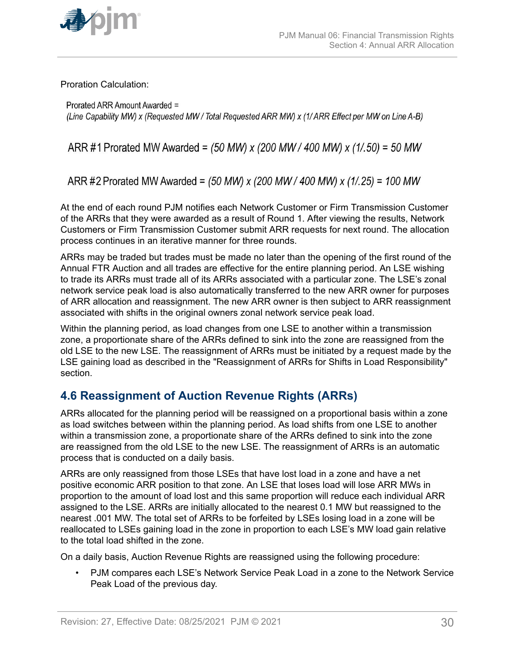<span id="page-29-0"></span>

Proration Calculation:

Prorated ARR Amount Awarded = (Line Capability MW) x (Requested MW / Total Requested ARR MW) x (1/ ARR Effect per MW on Line A-B)

ARR #1 Prorated MW Awarded =  $(50 \text{ MW}) \times (200 \text{ MW} / 400 \text{ MW}) \times (1/0.50) = 50 \text{ MW}$ 

ARR #2 Prorated MW Awarded = (50 MW) x (200 MW / 400 MW) x (1/.25) = 100 MW

At the end of each round PJM notifies each Network Customer or Firm Transmission Customer of the ARRs that they were awarded as a result of Round 1. After viewing the results, Network Customers or Firm Transmission Customer submit ARR requests for next round. The allocation process continues in an iterative manner for three rounds.

ARRs may be traded but trades must be made no later than the opening of the first round of the Annual FTR Auction and all trades are effective for the entire planning period. An LSE wishing to trade its ARRs must trade all of its ARRs associated with a particular zone. The LSE's zonal network service peak load is also automatically transferred to the new ARR owner for purposes of ARR allocation and reassignment. The new ARR owner is then subject to ARR reassignment associated with shifts in the original owners zonal network service peak load.

Within the planning period, as load changes from one LSE to another within a transmission zone, a proportionate share of the ARRs defined to sink into the zone are reassigned from the old LSE to the new LSE. The reassignment of ARRs must be initiated by a request made by the LSE gaining load as described in the "Reassignment of ARRs for Shifts in Load Responsibility" section.

# **4.6 Reassignment of Auction Revenue Rights (ARRs)**

ARRs allocated for the planning period will be reassigned on a proportional basis within a zone as load switches between within the planning period. As load shifts from one LSE to another within a transmission zone, a proportionate share of the ARRs defined to sink into the zone are reassigned from the old LSE to the new LSE. The reassignment of ARRs is an automatic process that is conducted on a daily basis.

ARRs are only reassigned from those LSEs that have lost load in a zone and have a net positive economic ARR position to that zone. An LSE that loses load will lose ARR MWs in proportion to the amount of load lost and this same proportion will reduce each individual ARR assigned to the LSE. ARRs are initially allocated to the nearest 0.1 MW but reassigned to the nearest .001 MW. The total set of ARRs to be forfeited by LSEs losing load in a zone will be reallocated to LSEs gaining load in the zone in proportion to each LSE's MW load gain relative to the total load shifted in the zone.

On a daily basis, Auction Revenue Rights are reassigned using the following procedure:

• PJM compares each LSE's Network Service Peak Load in a zone to the Network Service Peak Load of the previous day.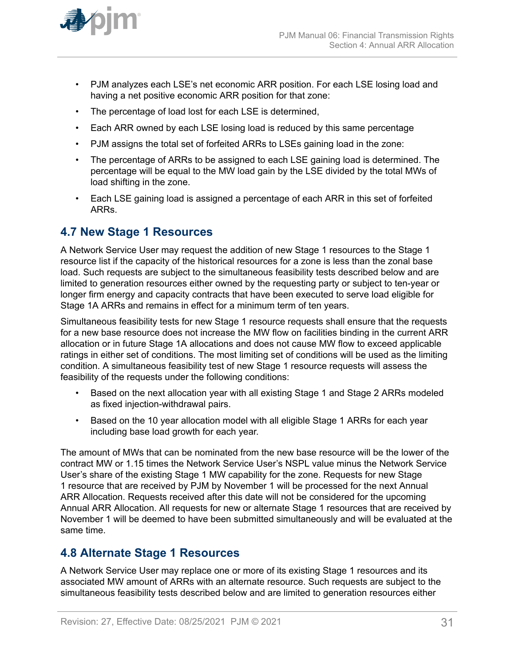<span id="page-30-0"></span>

- PJM analyzes each LSE's net economic ARR position. For each LSE losing load and having a net positive economic ARR position for that zone:
- The percentage of load lost for each LSE is determined,
- Each ARR owned by each LSE losing load is reduced by this same percentage
- PJM assigns the total set of forfeited ARRs to LSEs gaining load in the zone:
- The percentage of ARRs to be assigned to each LSE gaining load is determined. The percentage will be equal to the MW load gain by the LSE divided by the total MWs of load shifting in the zone.
- Each LSE gaining load is assigned a percentage of each ARR in this set of forfeited ARRs.

### **4.7 New Stage 1 Resources**

A Network Service User may request the addition of new Stage 1 resources to the Stage 1 resource list if the capacity of the historical resources for a zone is less than the zonal base load. Such requests are subject to the simultaneous feasibility tests described below and are limited to generation resources either owned by the requesting party or subject to ten-year or longer firm energy and capacity contracts that have been executed to serve load eligible for Stage 1A ARRs and remains in effect for a minimum term of ten years.

Simultaneous feasibility tests for new Stage 1 resource requests shall ensure that the requests for a new base resource does not increase the MW flow on facilities binding in the current ARR allocation or in future Stage 1A allocations and does not cause MW flow to exceed applicable ratings in either set of conditions. The most limiting set of conditions will be used as the limiting condition. A simultaneous feasibility test of new Stage 1 resource requests will assess the feasibility of the requests under the following conditions:

- Based on the next allocation year with all existing Stage 1 and Stage 2 ARRs modeled as fixed injection-withdrawal pairs.
- Based on the 10 year allocation model with all eligible Stage 1 ARRs for each year including base load growth for each year.

The amount of MWs that can be nominated from the new base resource will be the lower of the contract MW or 1.15 times the Network Service User's NSPL value minus the Network Service User's share of the existing Stage 1 MW capability for the zone. Requests for new Stage 1 resource that are received by PJM by November 1 will be processed for the next Annual ARR Allocation. Requests received after this date will not be considered for the upcoming Annual ARR Allocation. All requests for new or alternate Stage 1 resources that are received by November 1 will be deemed to have been submitted simultaneously and will be evaluated at the same time.

#### **4.8 Alternate Stage 1 Resources**

A Network Service User may replace one or more of its existing Stage 1 resources and its associated MW amount of ARRs with an alternate resource. Such requests are subject to the simultaneous feasibility tests described below and are limited to generation resources either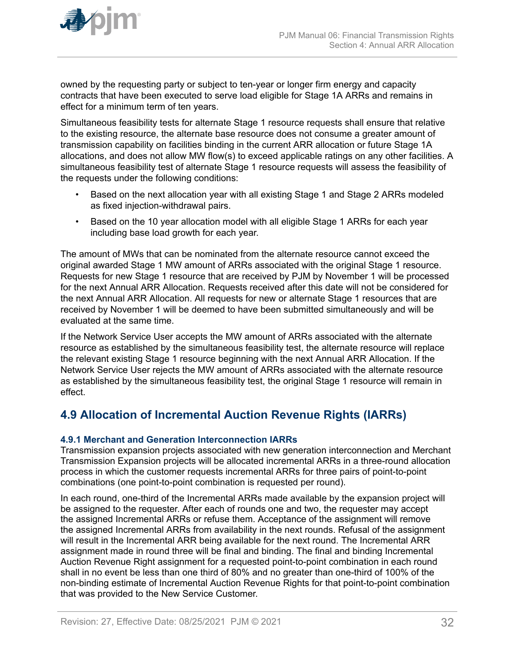<span id="page-31-0"></span>

owned by the requesting party or subject to ten-year or longer firm energy and capacity contracts that have been executed to serve load eligible for Stage 1A ARRs and remains in effect for a minimum term of ten years.

Simultaneous feasibility tests for alternate Stage 1 resource requests shall ensure that relative to the existing resource, the alternate base resource does not consume a greater amount of transmission capability on facilities binding in the current ARR allocation or future Stage 1A allocations, and does not allow MW flow(s) to exceed applicable ratings on any other facilities. A simultaneous feasibility test of alternate Stage 1 resource requests will assess the feasibility of the requests under the following conditions:

- Based on the next allocation year with all existing Stage 1 and Stage 2 ARRs modeled as fixed injection-withdrawal pairs.
- Based on the 10 year allocation model with all eligible Stage 1 ARRs for each year including base load growth for each year.

The amount of MWs that can be nominated from the alternate resource cannot exceed the original awarded Stage 1 MW amount of ARRs associated with the original Stage 1 resource. Requests for new Stage 1 resource that are received by PJM by November 1 will be processed for the next Annual ARR Allocation. Requests received after this date will not be considered for the next Annual ARR Allocation. All requests for new or alternate Stage 1 resources that are received by November 1 will be deemed to have been submitted simultaneously and will be evaluated at the same time.

If the Network Service User accepts the MW amount of ARRs associated with the alternate resource as established by the simultaneous feasibility test, the alternate resource will replace the relevant existing Stage 1 resource beginning with the next Annual ARR Allocation. If the Network Service User rejects the MW amount of ARRs associated with the alternate resource as established by the simultaneous feasibility test, the original Stage 1 resource will remain in effect.

# **4.9 Allocation of Incremental Auction Revenue Rights (IARRs)**

#### **4.9.1 Merchant and Generation Interconnection IARRs**

Transmission expansion projects associated with new generation interconnection and Merchant Transmission Expansion projects will be allocated incremental ARRs in a three-round allocation process in which the customer requests incremental ARRs for three pairs of point-to-point combinations (one point-to-point combination is requested per round).

In each round, one-third of the Incremental ARRs made available by the expansion project will be assigned to the requester. After each of rounds one and two, the requester may accept the assigned Incremental ARRs or refuse them. Acceptance of the assignment will remove the assigned Incremental ARRs from availability in the next rounds. Refusal of the assignment will result in the Incremental ARR being available for the next round. The Incremental ARR assignment made in round three will be final and binding. The final and binding Incremental Auction Revenue Right assignment for a requested point-to-point combination in each round shall in no event be less than one third of 80% and no greater than one-third of 100% of the non-binding estimate of Incremental Auction Revenue Rights for that point-to-point combination that was provided to the New Service Customer.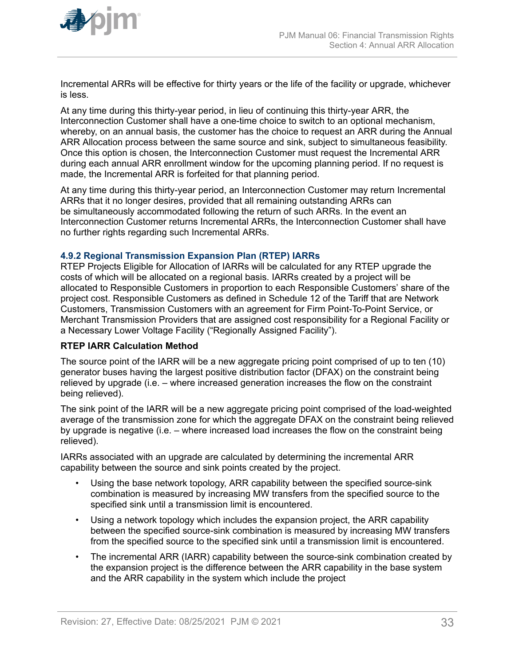<span id="page-32-0"></span>

Incremental ARRs will be effective for thirty years or the life of the facility or upgrade, whichever is less.

At any time during this thirty-year period, in lieu of continuing this thirty-year ARR, the Interconnection Customer shall have a one-time choice to switch to an optional mechanism, whereby, on an annual basis, the customer has the choice to request an ARR during the Annual ARR Allocation process between the same source and sink, subject to simultaneous feasibility. Once this option is chosen, the Interconnection Customer must request the Incremental ARR during each annual ARR enrollment window for the upcoming planning period. If no request is made, the Incremental ARR is forfeited for that planning period.

At any time during this thirty-year period, an Interconnection Customer may return Incremental ARRs that it no longer desires, provided that all remaining outstanding ARRs can be simultaneously accommodated following the return of such ARRs. In the event an Interconnection Customer returns Incremental ARRs, the Interconnection Customer shall have no further rights regarding such Incremental ARRs.

#### **4.9.2 Regional Transmission Expansion Plan (RTEP) IARRs**

RTEP Projects Eligible for Allocation of IARRs will be calculated for any RTEP upgrade the costs of which will be allocated on a regional basis. IARRs created by a project will be allocated to Responsible Customers in proportion to each Responsible Customers' share of the project cost. Responsible Customers as defined in Schedule 12 of the Tariff that are Network Customers, Transmission Customers with an agreement for Firm Point-To-Point Service, or Merchant Transmission Providers that are assigned cost responsibility for a Regional Facility or a Necessary Lower Voltage Facility ("Regionally Assigned Facility").

#### **RTEP IARR Calculation Method**

The source point of the IARR will be a new aggregate pricing point comprised of up to ten (10) generator buses having the largest positive distribution factor (DFAX) on the constraint being relieved by upgrade (i.e. – where increased generation increases the flow on the constraint being relieved).

The sink point of the IARR will be a new aggregate pricing point comprised of the load-weighted average of the transmission zone for which the aggregate DFAX on the constraint being relieved by upgrade is negative (i.e. – where increased load increases the flow on the constraint being relieved).

IARRs associated with an upgrade are calculated by determining the incremental ARR capability between the source and sink points created by the project.

- Using the base network topology, ARR capability between the specified source-sink combination is measured by increasing MW transfers from the specified source to the specified sink until a transmission limit is encountered.
- Using a network topology which includes the expansion project, the ARR capability between the specified source-sink combination is measured by increasing MW transfers from the specified source to the specified sink until a transmission limit is encountered.
- The incremental ARR (IARR) capability between the source-sink combination created by the expansion project is the difference between the ARR capability in the base system and the ARR capability in the system which include the project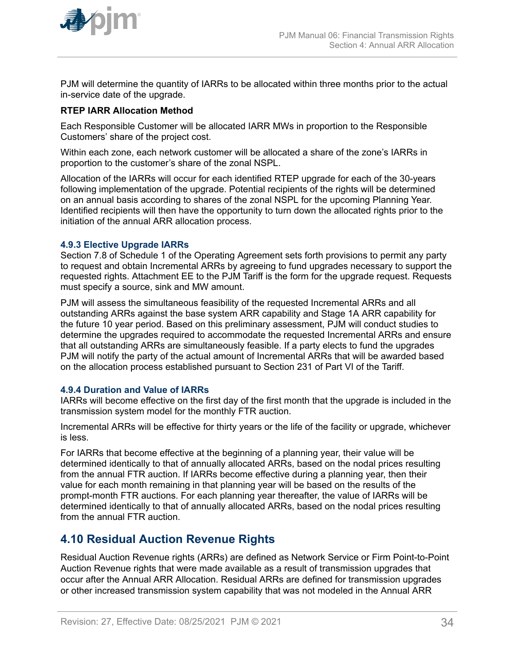<span id="page-33-0"></span>

PJM will determine the quantity of IARRs to be allocated within three months prior to the actual in-service date of the upgrade.

#### **RTEP IARR Allocation Method**

Each Responsible Customer will be allocated IARR MWs in proportion to the Responsible Customers' share of the project cost.

Within each zone, each network customer will be allocated a share of the zone's IARRs in proportion to the customer's share of the zonal NSPL.

Allocation of the IARRs will occur for each identified RTEP upgrade for each of the 30-years following implementation of the upgrade. Potential recipients of the rights will be determined on an annual basis according to shares of the zonal NSPL for the upcoming Planning Year. Identified recipients will then have the opportunity to turn down the allocated rights prior to the initiation of the annual ARR allocation process.

#### **4.9.3 Elective Upgrade IARRs**

Section 7.8 of Schedule 1 of the Operating Agreement sets forth provisions to permit any party to request and obtain Incremental ARRs by agreeing to fund upgrades necessary to support the requested rights. Attachment EE to the PJM Tariff is the form for the upgrade request. Requests must specify a source, sink and MW amount.

PJM will assess the simultaneous feasibility of the requested Incremental ARRs and all outstanding ARRs against the base system ARR capability and Stage 1A ARR capability for the future 10 year period. Based on this preliminary assessment, PJM will conduct studies to determine the upgrades required to accommodate the requested Incremental ARRs and ensure that all outstanding ARRs are simultaneously feasible. If a party elects to fund the upgrades PJM will notify the party of the actual amount of Incremental ARRs that will be awarded based on the allocation process established pursuant to Section 231 of Part VI of the Tariff.

#### **4.9.4 Duration and Value of IARRs**

IARRs will become effective on the first day of the first month that the upgrade is included in the transmission system model for the monthly FTR auction.

Incremental ARRs will be effective for thirty years or the life of the facility or upgrade, whichever is less.

For IARRs that become effective at the beginning of a planning year, their value will be determined identically to that of annually allocated ARRs, based on the nodal prices resulting from the annual FTR auction. If IARRs become effective during a planning year, then their value for each month remaining in that planning year will be based on the results of the prompt-month FTR auctions. For each planning year thereafter, the value of IARRs will be determined identically to that of annually allocated ARRs, based on the nodal prices resulting from the annual FTR auction.

### **4.10 Residual Auction Revenue Rights**

Residual Auction Revenue rights (ARRs) are defined as Network Service or Firm Point-to-Point Auction Revenue rights that were made available as a result of transmission upgrades that occur after the Annual ARR Allocation. Residual ARRs are defined for transmission upgrades or other increased transmission system capability that was not modeled in the Annual ARR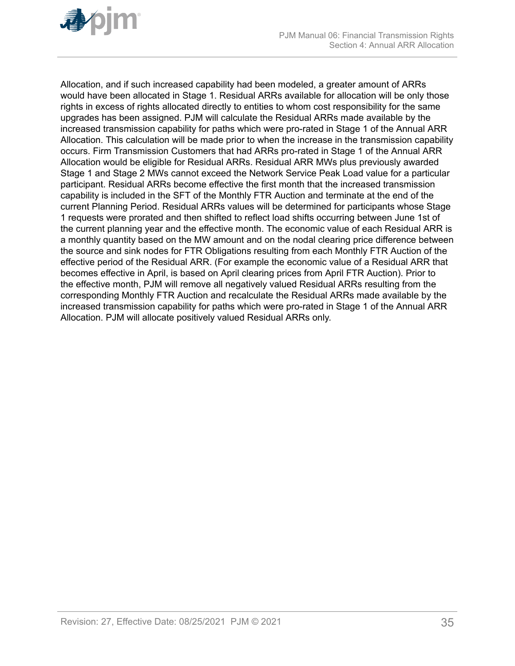

Allocation, and if such increased capability had been modeled, a greater amount of ARRs would have been allocated in Stage 1. Residual ARRs available for allocation will be only those rights in excess of rights allocated directly to entities to whom cost responsibility for the same upgrades has been assigned. PJM will calculate the Residual ARRs made available by the increased transmission capability for paths which were pro-rated in Stage 1 of the Annual ARR Allocation. This calculation will be made prior to when the increase in the transmission capability occurs. Firm Transmission Customers that had ARRs pro-rated in Stage 1 of the Annual ARR Allocation would be eligible for Residual ARRs. Residual ARR MWs plus previously awarded Stage 1 and Stage 2 MWs cannot exceed the Network Service Peak Load value for a particular participant. Residual ARRs become effective the first month that the increased transmission capability is included in the SFT of the Monthly FTR Auction and terminate at the end of the current Planning Period. Residual ARRs values will be determined for participants whose Stage 1 requests were prorated and then shifted to reflect load shifts occurring between June 1st of the current planning year and the effective month. The economic value of each Residual ARR is a monthly quantity based on the MW amount and on the nodal clearing price difference between the source and sink nodes for FTR Obligations resulting from each Monthly FTR Auction of the effective period of the Residual ARR. (For example the economic value of a Residual ARR that becomes effective in April, is based on April clearing prices from April FTR Auction). Prior to the effective month, PJM will remove all negatively valued Residual ARRs resulting from the corresponding Monthly FTR Auction and recalculate the Residual ARRs made available by the increased transmission capability for paths which were pro-rated in Stage 1 of the Annual ARR Allocation. PJM will allocate positively valued Residual ARRs only.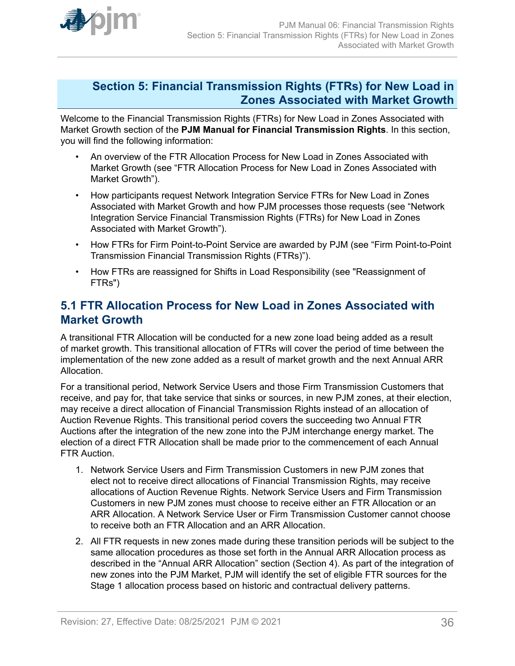<span id="page-35-0"></span>

### **Section 5: Financial Transmission Rights (FTRs) for New Load in Zones Associated with Market Growth**

Welcome to the Financial Transmission Rights (FTRs) for New Load in Zones Associated with Market Growth section of the **PJM Manual for Financial Transmission Rights**. In this section, you will find the following information:

- An overview of the FTR Allocation Process for New Load in Zones Associated with Market Growth (see "FTR Allocation Process for New Load in Zones Associated with Market Growth").
- How participants request Network Integration Service FTRs for New Load in Zones Associated with Market Growth and how PJM processes those requests (see "Network Integration Service Financial Transmission Rights (FTRs) for New Load in Zones Associated with Market Growth").
- How FTRs for Firm Point-to-Point Service are awarded by PJM (see "Firm Point-to-Point Transmission Financial Transmission Rights (FTRs)").
- How FTRs are reassigned for Shifts in Load Responsibility (see "Reassignment of FTRs")

### **5.1 FTR Allocation Process for New Load in Zones Associated with Market Growth**

A transitional FTR Allocation will be conducted for a new zone load being added as a result of market growth. This transitional allocation of FTRs will cover the period of time between the implementation of the new zone added as a result of market growth and the next Annual ARR Allocation.

For a transitional period, Network Service Users and those Firm Transmission Customers that receive, and pay for, that take service that sinks or sources, in new PJM zones, at their election, may receive a direct allocation of Financial Transmission Rights instead of an allocation of Auction Revenue Rights. This transitional period covers the succeeding two Annual FTR Auctions after the integration of the new zone into the PJM interchange energy market. The election of a direct FTR Allocation shall be made prior to the commencement of each Annual FTR Auction.

- 1. Network Service Users and Firm Transmission Customers in new PJM zones that elect not to receive direct allocations of Financial Transmission Rights, may receive allocations of Auction Revenue Rights. Network Service Users and Firm Transmission Customers in new PJM zones must choose to receive either an FTR Allocation or an ARR Allocation. A Network Service User or Firm Transmission Customer cannot choose to receive both an FTR Allocation and an ARR Allocation.
- 2. All FTR requests in new zones made during these transition periods will be subject to the same allocation procedures as those set forth in the Annual ARR Allocation process as described in the "Annual ARR Allocation" section (Section 4). As part of the integration of new zones into the PJM Market, PJM will identify the set of eligible FTR sources for the Stage 1 allocation process based on historic and contractual delivery patterns.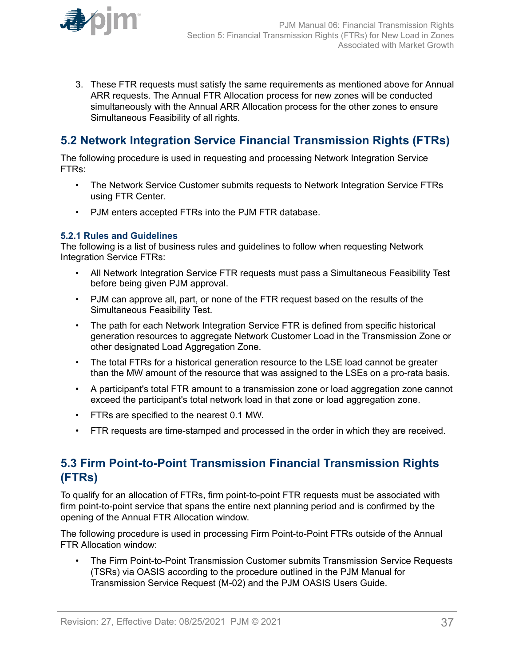<span id="page-36-0"></span>

3. These FTR requests must satisfy the same requirements as mentioned above for Annual ARR requests. The Annual FTR Allocation process for new zones will be conducted simultaneously with the Annual ARR Allocation process for the other zones to ensure Simultaneous Feasibility of all rights.

# **5.2 Network Integration Service Financial Transmission Rights (FTRs)**

The following procedure is used in requesting and processing Network Integration Service FTRs:

- The Network Service Customer submits requests to Network Integration Service FTRs using FTR Center.
- PJM enters accepted FTRs into the PJM FTR database.

#### **5.2.1 Rules and Guidelines**

The following is a list of business rules and guidelines to follow when requesting Network Integration Service FTRs:

- All Network Integration Service FTR requests must pass a Simultaneous Feasibility Test before being given PJM approval.
- PJM can approve all, part, or none of the FTR request based on the results of the Simultaneous Feasibility Test.
- The path for each Network Integration Service FTR is defined from specific historical generation resources to aggregate Network Customer Load in the Transmission Zone or other designated Load Aggregation Zone.
- The total FTRs for a historical generation resource to the LSE load cannot be greater than the MW amount of the resource that was assigned to the LSEs on a pro-rata basis.
- A participant's total FTR amount to a transmission zone or load aggregation zone cannot exceed the participant's total network load in that zone or load aggregation zone.
- FTRs are specified to the nearest 0.1 MW.
- FTR requests are time-stamped and processed in the order in which they are received.

# **5.3 Firm Point-to-Point Transmission Financial Transmission Rights (FTRs)**

To qualify for an allocation of FTRs, firm point-to-point FTR requests must be associated with firm point-to-point service that spans the entire next planning period and is confirmed by the opening of the Annual FTR Allocation window.

The following procedure is used in processing Firm Point-to-Point FTRs outside of the Annual FTR Allocation window:

• The Firm Point-to-Point Transmission Customer submits Transmission Service Requests (TSRs) via OASIS according to the procedure outlined in the PJM Manual for Transmission Service Request (M-02) and the PJM OASIS Users Guide.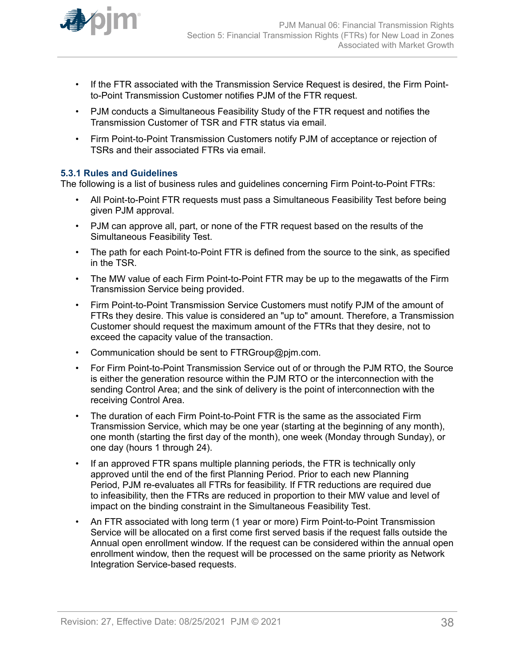<span id="page-37-0"></span>

- If the FTR associated with the Transmission Service Request is desired, the Firm Pointto-Point Transmission Customer notifies PJM of the FTR request.
- PJM conducts a Simultaneous Feasibility Study of the FTR request and notifies the Transmission Customer of TSR and FTR status via email.
- Firm Point-to-Point Transmission Customers notify PJM of acceptance or rejection of TSRs and their associated FTRs via email.

#### **5.3.1 Rules and Guidelines**

The following is a list of business rules and guidelines concerning Firm Point-to-Point FTRs:

- All Point-to-Point FTR requests must pass a Simultaneous Feasibility Test before being given PJM approval.
- PJM can approve all, part, or none of the FTR request based on the results of the Simultaneous Feasibility Test.
- The path for each Point-to-Point FTR is defined from the source to the sink, as specified in the TSR.
- The MW value of each Firm Point-to-Point FTR may be up to the megawatts of the Firm Transmission Service being provided.
- Firm Point-to-Point Transmission Service Customers must notify PJM of the amount of FTRs they desire. This value is considered an "up to" amount. Therefore, a Transmission Customer should request the maximum amount of the FTRs that they desire, not to exceed the capacity value of the transaction.
- Communication should be sent to FTRGroup@pjm.com.
- For Firm Point-to-Point Transmission Service out of or through the PJM RTO, the Source is either the generation resource within the PJM RTO or the interconnection with the sending Control Area; and the sink of delivery is the point of interconnection with the receiving Control Area.
- The duration of each Firm Point-to-Point FTR is the same as the associated Firm Transmission Service, which may be one year (starting at the beginning of any month), one month (starting the first day of the month), one week (Monday through Sunday), or one day (hours 1 through 24).
- If an approved FTR spans multiple planning periods, the FTR is technically only approved until the end of the first Planning Period. Prior to each new Planning Period, PJM re-evaluates all FTRs for feasibility. If FTR reductions are required due to infeasibility, then the FTRs are reduced in proportion to their MW value and level of impact on the binding constraint in the Simultaneous Feasibility Test.
- An FTR associated with long term (1 year or more) Firm Point-to-Point Transmission Service will be allocated on a first come first served basis if the request falls outside the Annual open enrollment window. If the request can be considered within the annual open enrollment window, then the request will be processed on the same priority as Network Integration Service-based requests.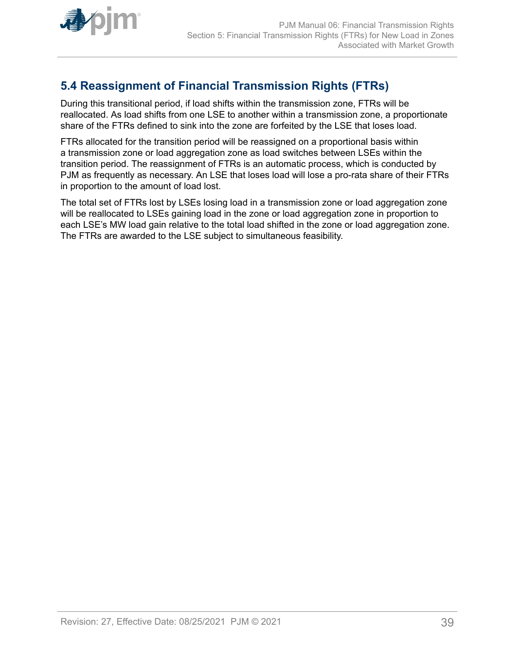<span id="page-38-0"></span>

# **5.4 Reassignment of Financial Transmission Rights (FTRs)**

During this transitional period, if load shifts within the transmission zone, FTRs will be reallocated. As load shifts from one LSE to another within a transmission zone, a proportionate share of the FTRs defined to sink into the zone are forfeited by the LSE that loses load.

FTRs allocated for the transition period will be reassigned on a proportional basis within a transmission zone or load aggregation zone as load switches between LSEs within the transition period. The reassignment of FTRs is an automatic process, which is conducted by PJM as frequently as necessary. An LSE that loses load will lose a pro-rata share of their FTRs in proportion to the amount of load lost.

The total set of FTRs lost by LSEs losing load in a transmission zone or load aggregation zone will be reallocated to LSEs gaining load in the zone or load aggregation zone in proportion to each LSE's MW load gain relative to the total load shifted in the zone or load aggregation zone. The FTRs are awarded to the LSE subject to simultaneous feasibility.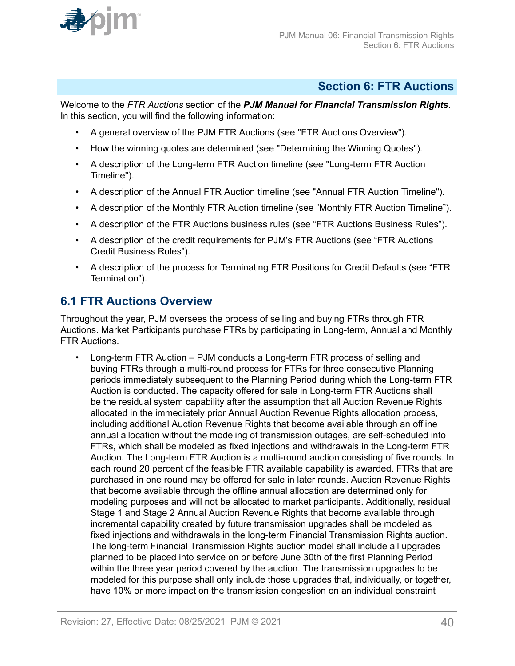<span id="page-39-0"></span>

### **Section 6: FTR Auctions**

Welcome to the *FTR Auctions* section of the *PJM Manual for Financial Transmission Rights*. In this section, you will find the following information:

- A general overview of the PJM FTR Auctions (see "FTR Auctions Overview").
- How the winning quotes are determined (see "Determining the Winning Quotes").
- A description of the Long-term FTR Auction timeline (see "Long-term FTR Auction Timeline").
- A description of the Annual FTR Auction timeline (see "Annual FTR Auction Timeline").
- A description of the Monthly FTR Auction timeline (see "Monthly FTR Auction Timeline").
- A description of the FTR Auctions business rules (see "FTR Auctions Business Rules").
- A description of the credit requirements for PJM's FTR Auctions (see "FTR Auctions Credit Business Rules").
- A description of the process for Terminating FTR Positions for Credit Defaults (see "FTR Termination").

### **6.1 FTR Auctions Overview**

Throughout the year, PJM oversees the process of selling and buying FTRs through FTR Auctions. Market Participants purchase FTRs by participating in Long-term, Annual and Monthly FTR Auctions.

• Long-term FTR Auction – PJM conducts a Long-term FTR process of selling and buying FTRs through a multi-round process for FTRs for three consecutive Planning periods immediately subsequent to the Planning Period during which the Long-term FTR Auction is conducted. The capacity offered for sale in Long-term FTR Auctions shall be the residual system capability after the assumption that all Auction Revenue Rights allocated in the immediately prior Annual Auction Revenue Rights allocation process, including additional Auction Revenue Rights that become available through an offline annual allocation without the modeling of transmission outages, are self-scheduled into FTRs, which shall be modeled as fixed injections and withdrawals in the Long-term FTR Auction. The Long-term FTR Auction is a multi-round auction consisting of five rounds. In each round 20 percent of the feasible FTR available capability is awarded. FTRs that are purchased in one round may be offered for sale in later rounds. Auction Revenue Rights that become available through the offline annual allocation are determined only for modeling purposes and will not be allocated to market participants. Additionally, residual Stage 1 and Stage 2 Annual Auction Revenue Rights that become available through incremental capability created by future transmission upgrades shall be modeled as fixed injections and withdrawals in the long-term Financial Transmission Rights auction. The long-term Financial Transmission Rights auction model shall include all upgrades planned to be placed into service on or before June 30th of the first Planning Period within the three year period covered by the auction. The transmission upgrades to be modeled for this purpose shall only include those upgrades that, individually, or together, have 10% or more impact on the transmission congestion on an individual constraint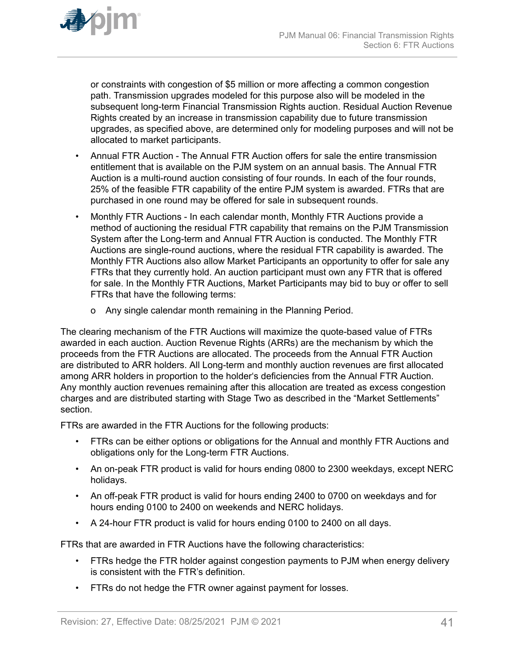

or constraints with congestion of \$5 million or more affecting a common congestion path. Transmission upgrades modeled for this purpose also will be modeled in the subsequent long-term Financial Transmission Rights auction. Residual Auction Revenue Rights created by an increase in transmission capability due to future transmission upgrades, as specified above, are determined only for modeling purposes and will not be allocated to market participants.

- Annual FTR Auction The Annual FTR Auction offers for sale the entire transmission entitlement that is available on the PJM system on an annual basis. The Annual FTR Auction is a multi-round auction consisting of four rounds. In each of the four rounds, 25% of the feasible FTR capability of the entire PJM system is awarded. FTRs that are purchased in one round may be offered for sale in subsequent rounds.
- Monthly FTR Auctions In each calendar month, Monthly FTR Auctions provide a method of auctioning the residual FTR capability that remains on the PJM Transmission System after the Long-term and Annual FTR Auction is conducted. The Monthly FTR Auctions are single-round auctions, where the residual FTR capability is awarded. The Monthly FTR Auctions also allow Market Participants an opportunity to offer for sale any FTRs that they currently hold. An auction participant must own any FTR that is offered for sale. In the Monthly FTR Auctions, Market Participants may bid to buy or offer to sell FTRs that have the following terms:
	- o Any single calendar month remaining in the Planning Period.

The clearing mechanism of the FTR Auctions will maximize the quote-based value of FTRs awarded in each auction. Auction Revenue Rights (ARRs) are the mechanism by which the proceeds from the FTR Auctions are allocated. The proceeds from the Annual FTR Auction are distributed to ARR holders. All Long-term and monthly auction revenues are first allocated among ARR holders in proportion to the holder's deficiencies from the Annual FTR Auction. Any monthly auction revenues remaining after this allocation are treated as excess congestion charges and are distributed starting with Stage Two as described in the "Market Settlements" section.

FTRs are awarded in the FTR Auctions for the following products:

- FTRs can be either options or obligations for the Annual and monthly FTR Auctions and obligations only for the Long-term FTR Auctions.
- An on-peak FTR product is valid for hours ending 0800 to 2300 weekdays, except NERC holidays.
- An off-peak FTR product is valid for hours ending 2400 to 0700 on weekdays and for hours ending 0100 to 2400 on weekends and NERC holidays.
- A 24-hour FTR product is valid for hours ending 0100 to 2400 on all days.

FTRs that are awarded in FTR Auctions have the following characteristics:

- FTRs hedge the FTR holder against congestion payments to PJM when energy delivery is consistent with the FTR's definition.
- FTRs do not hedge the FTR owner against payment for losses.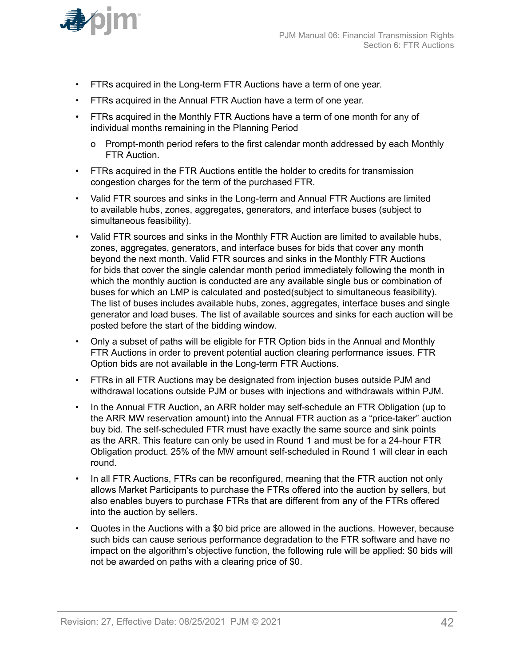

- FTRs acquired in the Long-term FTR Auctions have a term of one year.
- FTRs acquired in the Annual FTR Auction have a term of one year.
- FTRs acquired in the Monthly FTR Auctions have a term of one month for any of individual months remaining in the Planning Period
	- o Prompt-month period refers to the first calendar month addressed by each Monthly FTR Auction.
- FTRs acquired in the FTR Auctions entitle the holder to credits for transmission congestion charges for the term of the purchased FTR.
- Valid FTR sources and sinks in the Long-term and Annual FTR Auctions are limited to available hubs, zones, aggregates, generators, and interface buses (subject to simultaneous feasibility).
- Valid FTR sources and sinks in the Monthly FTR Auction are limited to available hubs, zones, aggregates, generators, and interface buses for bids that cover any month beyond the next month. Valid FTR sources and sinks in the Monthly FTR Auctions for bids that cover the single calendar month period immediately following the month in which the monthly auction is conducted are any available single bus or combination of buses for which an LMP is calculated and posted(subject to simultaneous feasibility). The list of buses includes available hubs, zones, aggregates, interface buses and single generator and load buses. The list of available sources and sinks for each auction will be posted before the start of the bidding window.
- Only a subset of paths will be eligible for FTR Option bids in the Annual and Monthly FTR Auctions in order to prevent potential auction clearing performance issues. FTR Option bids are not available in the Long-term FTR Auctions.
- FTRs in all FTR Auctions may be designated from injection buses outside PJM and withdrawal locations outside PJM or buses with injections and withdrawals within PJM.
- In the Annual FTR Auction, an ARR holder may self-schedule an FTR Obligation (up to the ARR MW reservation amount) into the Annual FTR auction as a "price-taker" auction buy bid. The self-scheduled FTR must have exactly the same source and sink points as the ARR. This feature can only be used in Round 1 and must be for a 24-hour FTR Obligation product. 25% of the MW amount self-scheduled in Round 1 will clear in each round.
- In all FTR Auctions, FTRs can be reconfigured, meaning that the FTR auction not only allows Market Participants to purchase the FTRs offered into the auction by sellers, but also enables buyers to purchase FTRs that are different from any of the FTRs offered into the auction by sellers.
- Quotes in the Auctions with a \$0 bid price are allowed in the auctions. However, because such bids can cause serious performance degradation to the FTR software and have no impact on the algorithm's objective function, the following rule will be applied: \$0 bids will not be awarded on paths with a clearing price of \$0.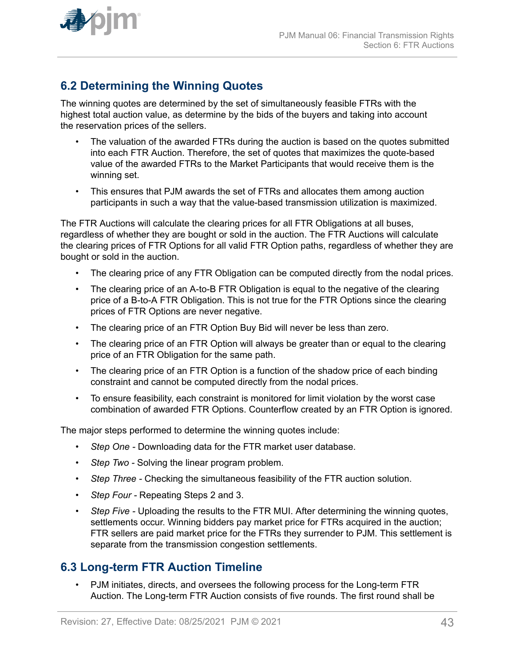

<span id="page-42-0"></span>

# **6.2 Determining the Winning Quotes**

The winning quotes are determined by the set of simultaneously feasible FTRs with the highest total auction value, as determine by the bids of the buyers and taking into account the reservation prices of the sellers.

- The valuation of the awarded FTRs during the auction is based on the quotes submitted into each FTR Auction. Therefore, the set of quotes that maximizes the quote-based value of the awarded FTRs to the Market Participants that would receive them is the winning set.
- This ensures that PJM awards the set of FTRs and allocates them among auction participants in such a way that the value-based transmission utilization is maximized.

The FTR Auctions will calculate the clearing prices for all FTR Obligations at all buses, regardless of whether they are bought or sold in the auction. The FTR Auctions will calculate the clearing prices of FTR Options for all valid FTR Option paths, regardless of whether they are bought or sold in the auction.

- The clearing price of any FTR Obligation can be computed directly from the nodal prices.
- The clearing price of an A-to-B FTR Obligation is equal to the negative of the clearing price of a B-to-A FTR Obligation. This is not true for the FTR Options since the clearing prices of FTR Options are never negative.
- The clearing price of an FTR Option Buy Bid will never be less than zero.
- The clearing price of an FTR Option will always be greater than or equal to the clearing price of an FTR Obligation for the same path.
- The clearing price of an FTR Option is a function of the shadow price of each binding constraint and cannot be computed directly from the nodal prices.
- To ensure feasibility, each constraint is monitored for limit violation by the worst case combination of awarded FTR Options. Counterflow created by an FTR Option is ignored.

The major steps performed to determine the winning quotes include:

- *Step One* Downloading data for the FTR market user database.
- *Step Two* Solving the linear program problem.
- *Step Three* Checking the simultaneous feasibility of the FTR auction solution.
- *Step Four* Repeating Steps 2 and 3.
- *Step Five Uploading the results to the FTR MUI. After determining the winning quotes,* settlements occur. Winning bidders pay market price for FTRs acquired in the auction; FTR sellers are paid market price for the FTRs they surrender to PJM. This settlement is separate from the transmission congestion settlements.

### **6.3 Long-term FTR Auction Timeline**

• PJM initiates, directs, and oversees the following process for the Long-term FTR Auction. The Long-term FTR Auction consists of five rounds. The first round shall be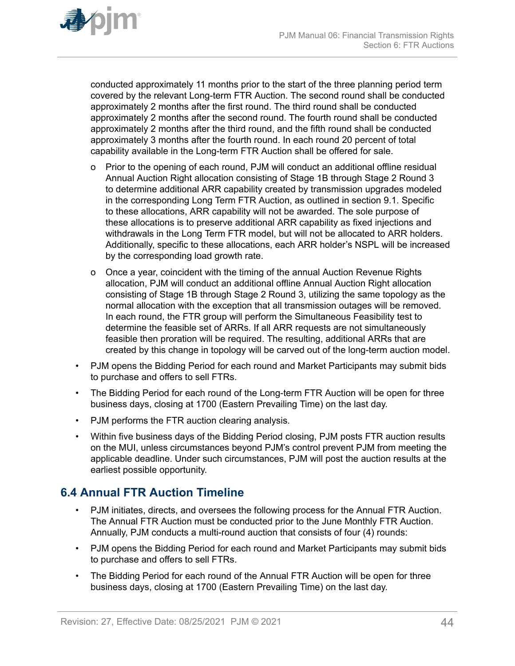<span id="page-43-0"></span>

conducted approximately 11 months prior to the start of the three planning period term covered by the relevant Long-term FTR Auction. The second round shall be conducted approximately 2 months after the first round. The third round shall be conducted approximately 2 months after the second round. The fourth round shall be conducted approximately 2 months after the third round, and the fifth round shall be conducted approximately 3 months after the fourth round. In each round 20 percent of total capability available in the Long-term FTR Auction shall be offered for sale.

- o Prior to the opening of each round, PJM will conduct an additional offline residual Annual Auction Right allocation consisting of Stage 1B through Stage 2 Round 3 to determine additional ARR capability created by transmission upgrades modeled in the corresponding Long Term FTR Auction, as outlined in section 9.1. Specific to these allocations, ARR capability will not be awarded. The sole purpose of these allocations is to preserve additional ARR capability as fixed injections and withdrawals in the Long Term FTR model, but will not be allocated to ARR holders. Additionally, specific to these allocations, each ARR holder's NSPL will be increased by the corresponding load growth rate.
- o Once a year, coincident with the timing of the annual Auction Revenue Rights allocation, PJM will conduct an additional offline Annual Auction Right allocation consisting of Stage 1B through Stage 2 Round 3, utilizing the same topology as the normal allocation with the exception that all transmission outages will be removed. In each round, the FTR group will perform the Simultaneous Feasibility test to determine the feasible set of ARRs. If all ARR requests are not simultaneously feasible then proration will be required. The resulting, additional ARRs that are created by this change in topology will be carved out of the long-term auction model.
- PJM opens the Bidding Period for each round and Market Participants may submit bids to purchase and offers to sell FTRs.
- The Bidding Period for each round of the Long-term FTR Auction will be open for three business days, closing at 1700 (Eastern Prevailing Time) on the last day.
- PJM performs the FTR auction clearing analysis.
- Within five business days of the Bidding Period closing, PJM posts FTR auction results on the MUI, unless circumstances beyond PJM's control prevent PJM from meeting the applicable deadline. Under such circumstances, PJM will post the auction results at the earliest possible opportunity.

### **6.4 Annual FTR Auction Timeline**

- PJM initiates, directs, and oversees the following process for the Annual FTR Auction. The Annual FTR Auction must be conducted prior to the June Monthly FTR Auction. Annually, PJM conducts a multi-round auction that consists of four (4) rounds:
- PJM opens the Bidding Period for each round and Market Participants may submit bids to purchase and offers to sell FTRs.
- The Bidding Period for each round of the Annual FTR Auction will be open for three business days, closing at 1700 (Eastern Prevailing Time) on the last day.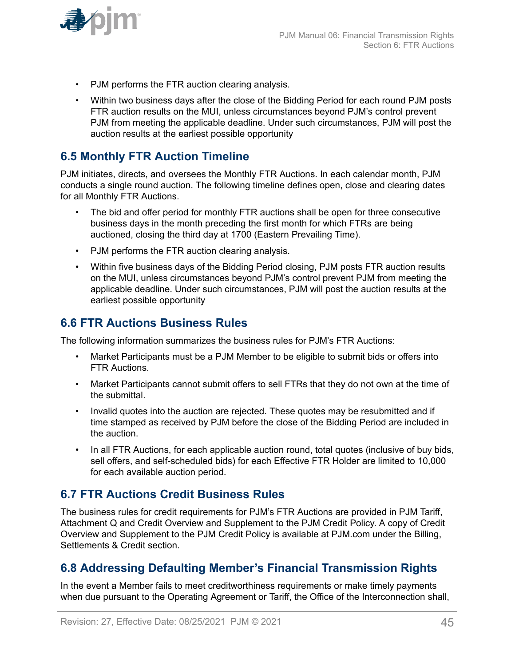<span id="page-44-0"></span>

- PJM performs the FTR auction clearing analysis.
- Within two business days after the close of the Bidding Period for each round PJM posts FTR auction results on the MUI, unless circumstances beyond PJM's control prevent PJM from meeting the applicable deadline. Under such circumstances, PJM will post the auction results at the earliest possible opportunity

# **6.5 Monthly FTR Auction Timeline**

PJM initiates, directs, and oversees the Monthly FTR Auctions. In each calendar month, PJM conducts a single round auction. The following timeline defines open, close and clearing dates for all Monthly FTR Auctions.

- The bid and offer period for monthly FTR auctions shall be open for three consecutive business days in the month preceding the first month for which FTRs are being auctioned, closing the third day at 1700 (Eastern Prevailing Time).
- PJM performs the FTR auction clearing analysis.
- Within five business days of the Bidding Period closing, PJM posts FTR auction results on the MUI, unless circumstances beyond PJM's control prevent PJM from meeting the applicable deadline. Under such circumstances, PJM will post the auction results at the earliest possible opportunity

### **6.6 FTR Auctions Business Rules**

The following information summarizes the business rules for PJM's FTR Auctions:

- Market Participants must be a PJM Member to be eligible to submit bids or offers into FTR Auctions.
- Market Participants cannot submit offers to sell FTRs that they do not own at the time of the submittal.
- Invalid quotes into the auction are rejected. These quotes may be resubmitted and if time stamped as received by PJM before the close of the Bidding Period are included in the auction.
- In all FTR Auctions, for each applicable auction round, total quotes (inclusive of buy bids, sell offers, and self-scheduled bids) for each Effective FTR Holder are limited to 10,000 for each available auction period.

### **6.7 FTR Auctions Credit Business Rules**

The business rules for credit requirements for PJM's FTR Auctions are provided in PJM Tariff, Attachment Q and Credit Overview and Supplement to the PJM Credit Policy. A copy of Credit Overview and Supplement to the PJM Credit Policy is available at PJM.com under the Billing, Settlements & Credit section.

# **6.8 Addressing Defaulting Member's Financial Transmission Rights**

In the event a Member fails to meet creditworthiness requirements or make timely payments when due pursuant to the Operating Agreement or Tariff, the Office of the Interconnection shall,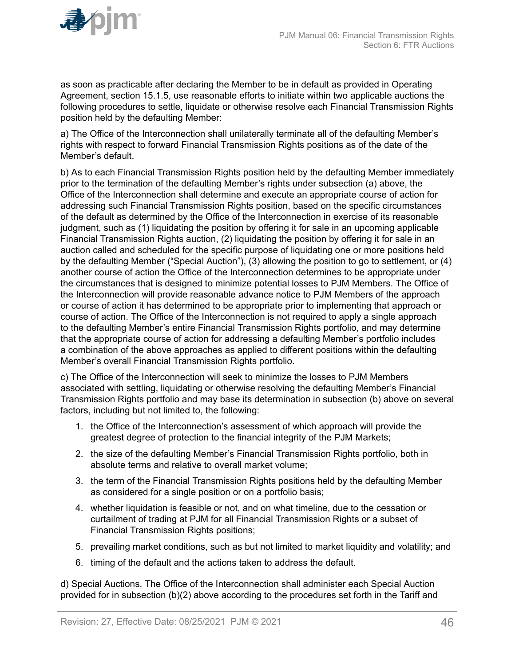

as soon as practicable after declaring the Member to be in default as provided in Operating Agreement, section 15.1.5, use reasonable efforts to initiate within two applicable auctions the following procedures to settle, liquidate or otherwise resolve each Financial Transmission Rights position held by the defaulting Member:

a) The Office of the Interconnection shall unilaterally terminate all of the defaulting Member's rights with respect to forward Financial Transmission Rights positions as of the date of the Member's default.

b) As to each Financial Transmission Rights position held by the defaulting Member immediately prior to the termination of the defaulting Member's rights under subsection (a) above, the Office of the Interconnection shall determine and execute an appropriate course of action for addressing such Financial Transmission Rights position, based on the specific circumstances of the default as determined by the Office of the Interconnection in exercise of its reasonable judgment, such as (1) liquidating the position by offering it for sale in an upcoming applicable Financial Transmission Rights auction, (2) liquidating the position by offering it for sale in an auction called and scheduled for the specific purpose of liquidating one or more positions held by the defaulting Member ("Special Auction"), (3) allowing the position to go to settlement, or (4) another course of action the Office of the Interconnection determines to be appropriate under the circumstances that is designed to minimize potential losses to PJM Members. The Office of the Interconnection will provide reasonable advance notice to PJM Members of the approach or course of action it has determined to be appropriate prior to implementing that approach or course of action. The Office of the Interconnection is not required to apply a single approach to the defaulting Member's entire Financial Transmission Rights portfolio, and may determine that the appropriate course of action for addressing a defaulting Member's portfolio includes a combination of the above approaches as applied to different positions within the defaulting Member's overall Financial Transmission Rights portfolio.

c) The Office of the Interconnection will seek to minimize the losses to PJM Members associated with settling, liquidating or otherwise resolving the defaulting Member's Financial Transmission Rights portfolio and may base its determination in subsection (b) above on several factors, including but not limited to, the following:

- 1. the Office of the Interconnection's assessment of which approach will provide the greatest degree of protection to the financial integrity of the PJM Markets;
- 2. the size of the defaulting Member's Financial Transmission Rights portfolio, both in absolute terms and relative to overall market volume;
- 3. the term of the Financial Transmission Rights positions held by the defaulting Member as considered for a single position or on a portfolio basis;
- 4. whether liquidation is feasible or not, and on what timeline, due to the cessation or curtailment of trading at PJM for all Financial Transmission Rights or a subset of Financial Transmission Rights positions;
- 5. prevailing market conditions, such as but not limited to market liquidity and volatility; and
- 6. timing of the default and the actions taken to address the default.

d) Special Auctions. The Office of the Interconnection shall administer each Special Auction provided for in subsection (b)(2) above according to the procedures set forth in the Tariff and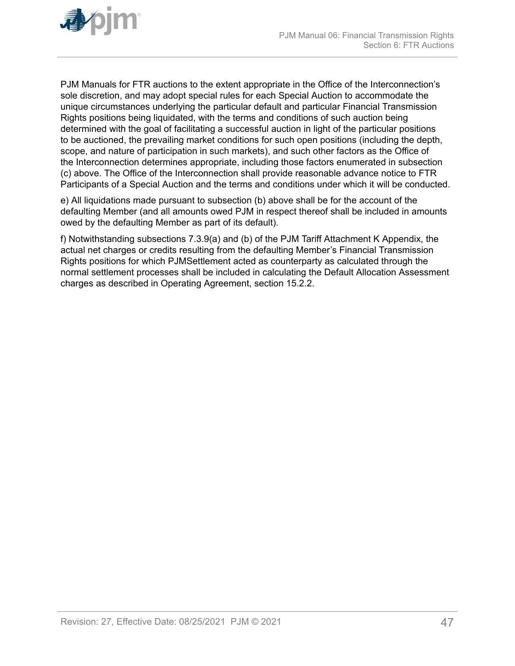

PJM Manuals for FTR auctions to the extent appropriate in the Office of the Interconnection's sole discretion, and may adopt special rules for each Special Auction to accommodate the unique circumstances underlying the particular default and particular Financial Transmission Rights positions being liquidated, with the terms and conditions of such auction being determined with the goal of facilitating a successful auction in light of the particular positions to be auctioned, the prevailing market conditions for such open positions (including the depth, scope, and nature of participation in such markets), and such other factors as the Office of the Interconnection determines appropriate, including those factors enumerated in subsection (c) above. The Office of the Interconnection shall provide reasonable advance notice to FTR Participants of a Special Auction and the terms and conditions under which it will be conducted.

e) All liquidations made pursuant to subsection (b) above shall be for the account of the defaulting Member (and all amounts owed PJM in respect thereof shall be included in amounts owed by the defaulting Member as part of its default).

f) Notwithstanding subsections 7.3.9(a) and (b) of the PJM Tariff Attachment K Appendix, the actual net charges or credits resulting from the defaulting Member's Financial Transmission Rights positions for which PJMSettlement acted as counterparty as calculated through the normal settlement processes shall be included in calculating the Default Allocation Assessment charges as described in Operating Agreement, section 15.2.2.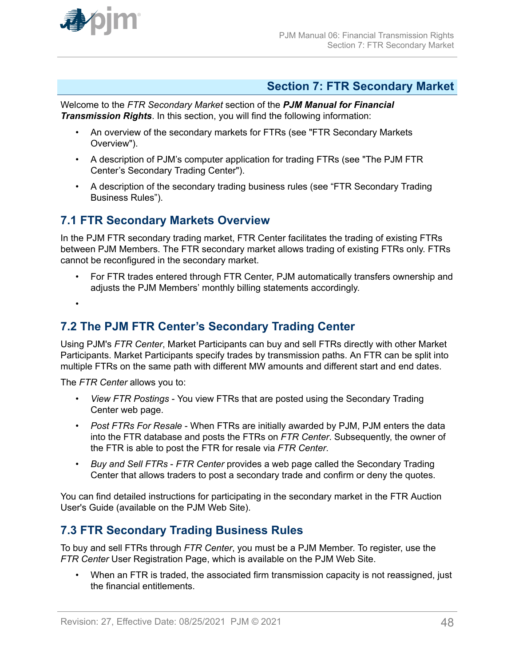<span id="page-47-0"></span>

### **Section 7: FTR Secondary Market**

Welcome to the *FTR Secondary Market* section of the *PJM Manual for Financial Transmission Rights*. In this section, you will find the following information:

- An overview of the secondary markets for FTRs (see "FTR Secondary Markets Overview").
- A description of PJM's computer application for trading FTRs (see "The PJM FTR Center's Secondary Trading Center").
- A description of the secondary trading business rules (see "FTR Secondary Trading Business Rules").

### **7.1 FTR Secondary Markets Overview**

In the PJM FTR secondary trading market, FTR Center facilitates the trading of existing FTRs between PJM Members. The FTR secondary market allows trading of existing FTRs only. FTRs cannot be reconfigured in the secondary market.

• For FTR trades entered through FTR Center, PJM automatically transfers ownership and adjusts the PJM Members' monthly billing statements accordingly.

•

### **7.2 The PJM FTR Center's Secondary Trading Center**

Using PJM's *FTR Center*, Market Participants can buy and sell FTRs directly with other Market Participants. Market Participants specify trades by transmission paths. An FTR can be split into multiple FTRs on the same path with different MW amounts and different start and end dates.

The *FTR Center* allows you to:

- *View FTR Postings* You view FTRs that are posted using the Secondary Trading Center web page.
- *Post FTRs For Resale* When FTRs are initially awarded by PJM, PJM enters the data into the FTR database and posts the FTRs on *FTR Center*. Subsequently, the owner of the FTR is able to post the FTR for resale via *FTR Center*.
- *Buy and Sell FTRs FTR Center* provides a web page called the Secondary Trading Center that allows traders to post a secondary trade and confirm or deny the quotes.

You can find detailed instructions for participating in the secondary market in the FTR Auction User's Guide (available on the PJM Web Site).

# **7.3 FTR Secondary Trading Business Rules**

To buy and sell FTRs through *FTR Center*, you must be a PJM Member. To register, use the *FTR Center* User Registration Page, which is available on the PJM Web Site.

• When an FTR is traded, the associated firm transmission capacity is not reassigned, just the financial entitlements.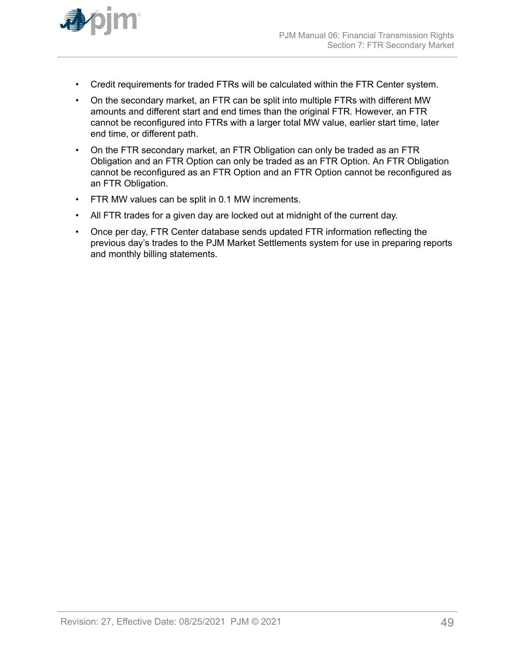

- Credit requirements for traded FTRs will be calculated within the FTR Center system.
- On the secondary market, an FTR can be split into multiple FTRs with different MW amounts and different start and end times than the original FTR. However, an FTR cannot be reconfigured into FTRs with a larger total MW value, earlier start time, later end time, or different path.
- On the FTR secondary market, an FTR Obligation can only be traded as an FTR Obligation and an FTR Option can only be traded as an FTR Option. An FTR Obligation cannot be reconfigured as an FTR Option and an FTR Option cannot be reconfigured as an FTR Obligation.
- FTR MW values can be split in 0.1 MW increments.
- All FTR trades for a given day are locked out at midnight of the current day.
- Once per day, FTR Center database sends updated FTR information reflecting the previous day's trades to the PJM Market Settlements system for use in preparing reports and monthly billing statements.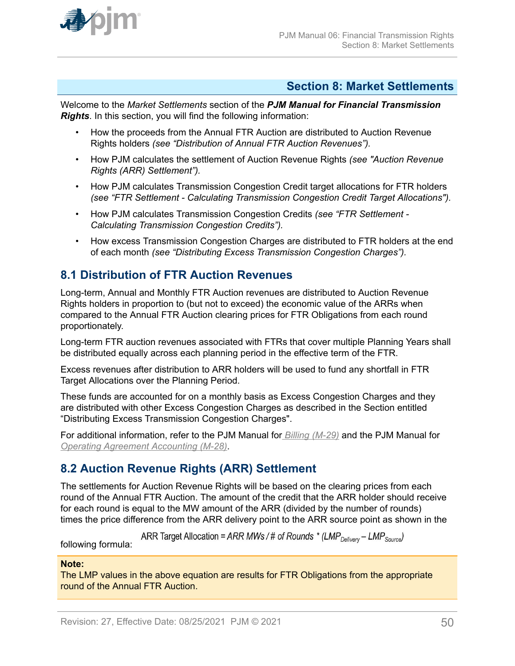<span id="page-49-0"></span>

### **Section 8: Market Settlements**

Welcome to the *Market Settlements* section of the *PJM Manual for Financial Transmission Rights*. In this section, you will find the following information:

- How the proceeds from the Annual FTR Auction are distributed to Auction Revenue Rights holders *(see "Distribution of Annual FTR Auction Revenues").*
- How PJM calculates the settlement of Auction Revenue Rights *(see "Auction Revenue Rights (ARR) Settlement").*
- How PJM calculates Transmission Congestion Credit target allocations for FTR holders *(see "FTR Settlement - Calculating Transmission Congestion Credit Target Allocations").*
- How PJM calculates Transmission Congestion Credits *(see "FTR Settlement - Calculating Transmission Congestion Credits").*
- How excess Transmission Congestion Charges are distributed to FTR holders at the end of each month *(see "Distributing Excess Transmission Congestion Charges").*

### **8.1 Distribution of FTR Auction Revenues**

Long-term, Annual and Monthly FTR Auction revenues are distributed to Auction Revenue Rights holders in proportion to (but not to exceed) the economic value of the ARRs when compared to the Annual FTR Auction clearing prices for FTR Obligations from each round proportionately.

Long-term FTR auction revenues associated with FTRs that cover multiple Planning Years shall be distributed equally across each planning period in the effective term of the FTR.

Excess revenues after distribution to ARR holders will be used to fund any shortfall in FTR Target Allocations over the Planning Period.

These funds are accounted for on a monthly basis as Excess Congestion Charges and they are distributed with other Excess Congestion Charges as described in the Section entitled "Distributing Excess Transmission Congestion Charges".

For additional information, refer to the PJM Manual for *[Billing \(M-29\)](http://www.pjm.com/~/media/documents/manuals/m29.ashx)* and the PJM Manual for *[Operating Agreement Accounting \(M-28\)](http://www.pjm.com/~/media/documents/manuals/m28.ashx)*.

# **8.2 Auction Revenue Rights (ARR) Settlement**

The settlements for Auction Revenue Rights will be based on the clearing prices from each round of the Annual FTR Auction. The amount of the credit that the ARR holder should receive for each round is equal to the MW amount of the ARR (divided by the number of rounds) times the price difference from the ARR delivery point to the ARR source point as shown in the

ARR Target Allocation = ARR MWs / # of Rounds \* (LMP<sub>Delivery</sub> – LMP<sub>Source</sub>)

following formula:

#### **Note:**

The LMP values in the above equation are results for FTR Obligations from the appropriate round of the Annual FTR Auction.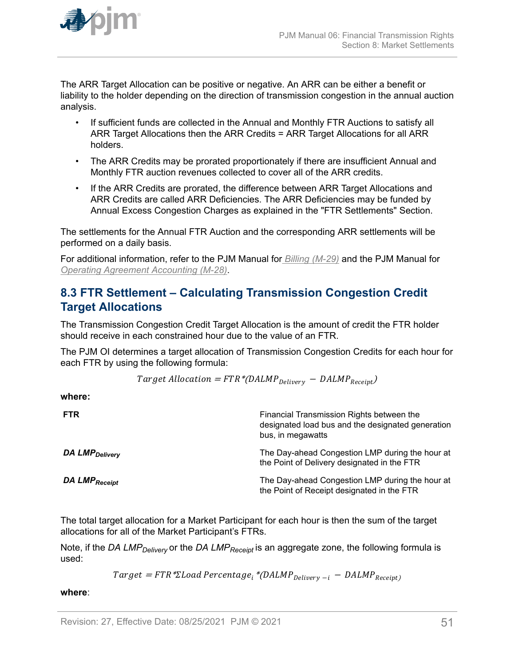<span id="page-50-0"></span>

The ARR Target Allocation can be positive or negative. An ARR can be either a benefit or liability to the holder depending on the direction of transmission congestion in the annual auction analysis.

- If sufficient funds are collected in the Annual and Monthly FTR Auctions to satisfy all ARR Target Allocations then the ARR Credits = ARR Target Allocations for all ARR holders.
- The ARR Credits may be prorated proportionately if there are insufficient Annual and Monthly FTR auction revenues collected to cover all of the ARR credits.
- If the ARR Credits are prorated, the difference between ARR Target Allocations and ARR Credits are called ARR Deficiencies. The ARR Deficiencies may be funded by Annual Excess Congestion Charges as explained in the "FTR Settlements" Section.

The settlements for the Annual FTR Auction and the corresponding ARR settlements will be performed on a daily basis.

For additional information, refer to the PJM Manual for *[Billing \(M-29\)](http://www.pjm.com/~/media/documents/manuals/m29.ashx)* and the PJM Manual for *[Operating Agreement Accounting \(M-28\)](http://www.pjm.com/~/media/documents/manuals/m28.ashx)*.

# **8.3 FTR Settlement – Calculating Transmission Congestion Credit Target Allocations**

The Transmission Congestion Credit Target Allocation is the amount of credit the FTR holder should receive in each constrained hour due to the value of an FTR.

The PJM OI determines a target allocation of Transmission Congestion Credits for each hour for each FTR by using the following formula:

$$
Target \; Allocation = FTR * (DALMP_{Delivery} - DALMP_{Receipt})
$$

**where:**

| <b>FTR</b>                 | Financial Transmission Rights between the<br>designated load bus and the designated generation<br>bus, in megawatts |
|----------------------------|---------------------------------------------------------------------------------------------------------------------|
| DA LMP <sub>Delivery</sub> | The Day-ahead Congestion LMP during the hour at<br>the Point of Delivery designated in the FTR                      |
| DA LMP <sub>Receipt</sub>  | The Day-ahead Congestion LMP during the hour at<br>the Point of Receipt designated in the FTR                       |

The total target allocation for a Market Participant for each hour is then the sum of the target allocations for all of the Market Participant's FTRs.

Note, if the *DA LMPDelivery* or the *DA LMPReceipt* is an aggregate zone, the following formula is used:

 $Target = FTR * \Sigma Load Percentage_i * (DALMP_{Delivery - i} - DALMP_{Receipt})$ 

**where**: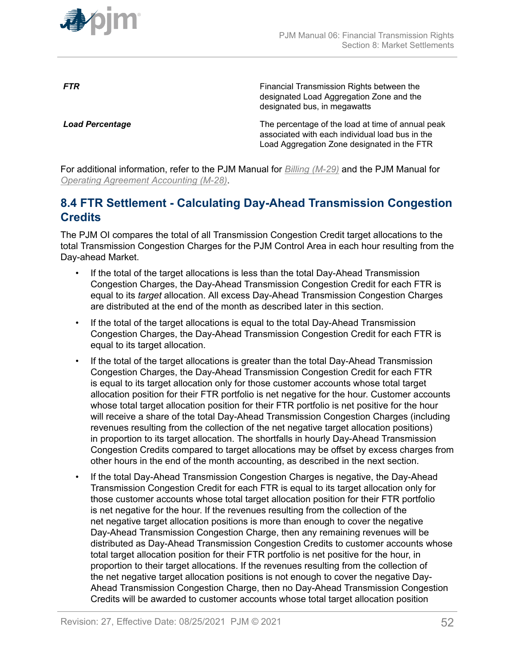<span id="page-51-0"></span>

**FTR** FINE **FINE EXAMPLE TRANSMISS** Financial Transmission Rights between the designated Load Aggregation Zone and the designated bus, in megawatts

**Load Percentage** The percentage of the load at time of annual peak associated with each individual load bus in the Load Aggregation Zone designated in the FTR

For additional information, refer to the PJM Manual for *[Billing \(M-29\)](http://www.pjm.com/~/media/documents/manuals/m29.ashx)* and the PJM Manual for *[Operating Agreement Accounting \(M-28\)](http://www.pjm.com/~/media/documents/manuals/m28.ashx)*.

# **8.4 FTR Settlement - Calculating Day-Ahead Transmission Congestion Credits**

The PJM OI compares the total of all Transmission Congestion Credit target allocations to the total Transmission Congestion Charges for the PJM Control Area in each hour resulting from the Day-ahead Market.

- If the total of the target allocations is less than the total Day-Ahead Transmission Congestion Charges, the Day-Ahead Transmission Congestion Credit for each FTR is equal to its *target* allocation. All excess Day-Ahead Transmission Congestion Charges are distributed at the end of the month as described later in this section.
- If the total of the target allocations is equal to the total Day-Ahead Transmission Congestion Charges, the Day-Ahead Transmission Congestion Credit for each FTR is equal to its target allocation.
- If the total of the target allocations is greater than the total Day-Ahead Transmission Congestion Charges, the Day-Ahead Transmission Congestion Credit for each FTR is equal to its target allocation only for those customer accounts whose total target allocation position for their FTR portfolio is net negative for the hour. Customer accounts whose total target allocation position for their FTR portfolio is net positive for the hour will receive a share of the total Day-Ahead Transmission Congestion Charges (including revenues resulting from the collection of the net negative target allocation positions) in proportion to its target allocation. The shortfalls in hourly Day-Ahead Transmission Congestion Credits compared to target allocations may be offset by excess charges from other hours in the end of the month accounting, as described in the next section.
- If the total Day-Ahead Transmission Congestion Charges is negative, the Day-Ahead Transmission Congestion Credit for each FTR is equal to its target allocation only for those customer accounts whose total target allocation position for their FTR portfolio is net negative for the hour. If the revenues resulting from the collection of the net negative target allocation positions is more than enough to cover the negative Day-Ahead Transmission Congestion Charge, then any remaining revenues will be distributed as Day-Ahead Transmission Congestion Credits to customer accounts whose total target allocation position for their FTR portfolio is net positive for the hour, in proportion to their target allocations. If the revenues resulting from the collection of the net negative target allocation positions is not enough to cover the negative Day-Ahead Transmission Congestion Charge, then no Day-Ahead Transmission Congestion Credits will be awarded to customer accounts whose total target allocation position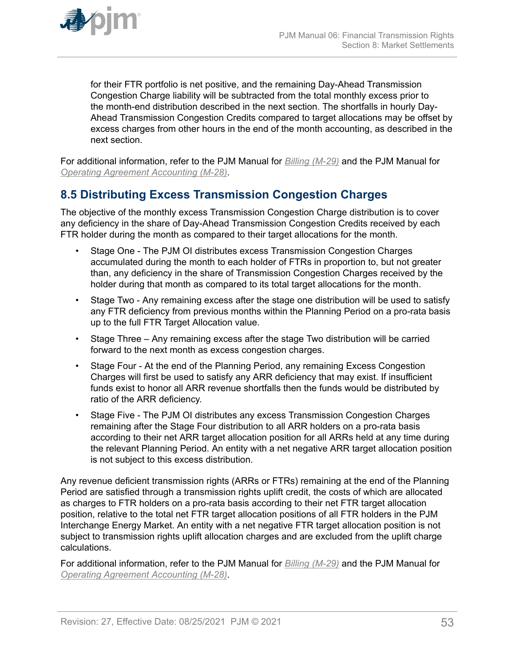<span id="page-52-0"></span>

for their FTR portfolio is net positive, and the remaining Day-Ahead Transmission Congestion Charge liability will be subtracted from the total monthly excess prior to the month-end distribution described in the next section. The shortfalls in hourly Day-Ahead Transmission Congestion Credits compared to target allocations may be offset by excess charges from other hours in the end of the month accounting, as described in the next section.

For additional information, refer to the PJM Manual for *[Billing \(M-29\)](http://www.pjm.com/contributions/pjm-manuals/pdf/m28v24.pdf)* and the PJM Manual for *[Operating Agreement Accounting \(M-28\)](http://www.pjm.com/~/media/documents/manuals/m28.ashx)*.

# **8.5 Distributing Excess Transmission Congestion Charges**

The objective of the monthly excess Transmission Congestion Charge distribution is to cover any deficiency in the share of Day-Ahead Transmission Congestion Credits received by each FTR holder during the month as compared to their target allocations for the month.

- Stage One The PJM OI distributes excess Transmission Congestion Charges accumulated during the month to each holder of FTRs in proportion to, but not greater than, any deficiency in the share of Transmission Congestion Charges received by the holder during that month as compared to its total target allocations for the month.
- Stage Two Any remaining excess after the stage one distribution will be used to satisfy any FTR deficiency from previous months within the Planning Period on a pro-rata basis up to the full FTR Target Allocation value.
- Stage Three Any remaining excess after the stage Two distribution will be carried forward to the next month as excess congestion charges.
- Stage Four At the end of the Planning Period, any remaining Excess Congestion Charges will first be used to satisfy any ARR deficiency that may exist. If insufficient funds exist to honor all ARR revenue shortfalls then the funds would be distributed by ratio of the ARR deficiency.
- Stage Five The PJM OI distributes any excess Transmission Congestion Charges remaining after the Stage Four distribution to all ARR holders on a pro-rata basis according to their net ARR target allocation position for all ARRs held at any time during the relevant Planning Period. An entity with a net negative ARR target allocation position is not subject to this excess distribution.

Any revenue deficient transmission rights (ARRs or FTRs) remaining at the end of the Planning Period are satisfied through a transmission rights uplift credit, the costs of which are allocated as charges to FTR holders on a pro-rata basis according to their net FTR target allocation position, relative to the total net FTR target allocation positions of all FTR holders in the PJM Interchange Energy Market. An entity with a net negative FTR target allocation position is not subject to transmission rights uplift allocation charges and are excluded from the uplift charge calculations.

For additional information, refer to the PJM Manual for *[Billing \(M-29\)](http://www.pjm.com/~/media/documents/manuals/m29.ashx)* and the PJM Manual for *[Operating Agreement Accounting \(M-28\)](http://www.pjm.com/~/media/documents/manuals/m28.ashx)*.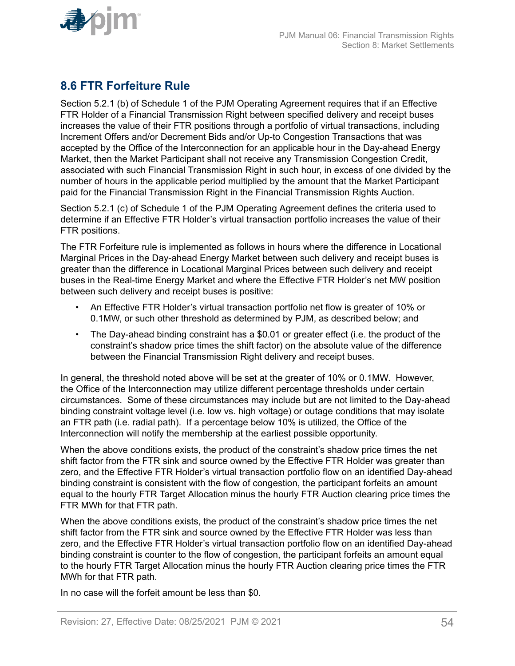<span id="page-53-0"></span>

# **8.6 FTR Forfeiture Rule**

Section 5.2.1 (b) of Schedule 1 of the PJM Operating Agreement requires that if an Effective FTR Holder of a Financial Transmission Right between specified delivery and receipt buses increases the value of their FTR positions through a portfolio of virtual transactions, including Increment Offers and/or Decrement Bids and/or Up-to Congestion Transactions that was accepted by the Office of the Interconnection for an applicable hour in the Day-ahead Energy Market, then the Market Participant shall not receive any Transmission Congestion Credit, associated with such Financial Transmission Right in such hour, in excess of one divided by the number of hours in the applicable period multiplied by the amount that the Market Participant paid for the Financial Transmission Right in the Financial Transmission Rights Auction.

Section 5.2.1 (c) of Schedule 1 of the PJM Operating Agreement defines the criteria used to determine if an Effective FTR Holder's virtual transaction portfolio increases the value of their FTR positions.

The FTR Forfeiture rule is implemented as follows in hours where the difference in Locational Marginal Prices in the Day-ahead Energy Market between such delivery and receipt buses is greater than the difference in Locational Marginal Prices between such delivery and receipt buses in the Real-time Energy Market and where the Effective FTR Holder's net MW position between such delivery and receipt buses is positive:

- An Effective FTR Holder's virtual transaction portfolio net flow is greater of 10% or 0.1MW, or such other threshold as determined by PJM, as described below; and
- The Day-ahead binding constraint has a \$0.01 or greater effect (i.e. the product of the constraint's shadow price times the shift factor) on the absolute value of the difference between the Financial Transmission Right delivery and receipt buses.

In general, the threshold noted above will be set at the greater of 10% or 0.1MW. However, the Office of the Interconnection may utilize different percentage thresholds under certain circumstances. Some of these circumstances may include but are not limited to the Day-ahead binding constraint voltage level (i.e. low vs. high voltage) or outage conditions that may isolate an FTR path (i.e. radial path). If a percentage below 10% is utilized, the Office of the Interconnection will notify the membership at the earliest possible opportunity.

When the above conditions exists, the product of the constraint's shadow price times the net shift factor from the FTR sink and source owned by the Effective FTR Holder was greater than zero, and the Effective FTR Holder's virtual transaction portfolio flow on an identified Day-ahead binding constraint is consistent with the flow of congestion, the participant forfeits an amount equal to the hourly FTR Target Allocation minus the hourly FTR Auction clearing price times the FTR MWh for that FTR path.

When the above conditions exists, the product of the constraint's shadow price times the net shift factor from the FTR sink and source owned by the Effective FTR Holder was less than zero, and the Effective FTR Holder's virtual transaction portfolio flow on an identified Day-ahead binding constraint is counter to the flow of congestion, the participant forfeits an amount equal to the hourly FTR Target Allocation minus the hourly FTR Auction clearing price times the FTR MWh for that FTR path.

In no case will the forfeit amount be less than \$0.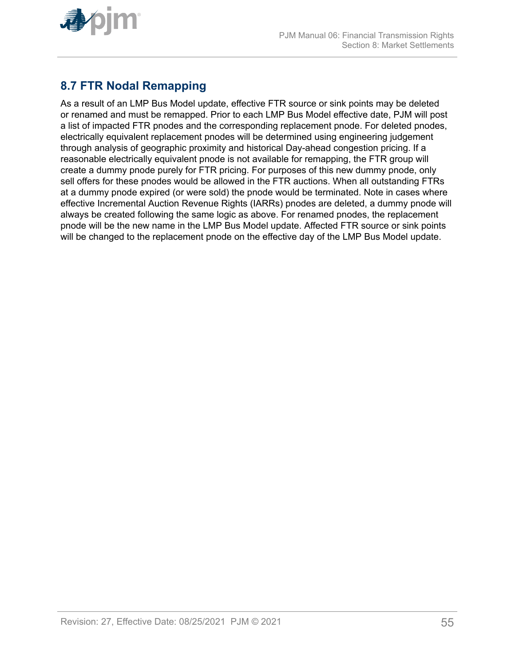<span id="page-54-0"></span>

# **8.7 FTR Nodal Remapping**

As a result of an LMP Bus Model update, effective FTR source or sink points may be deleted or renamed and must be remapped. Prior to each LMP Bus Model effective date, PJM will post a list of impacted FTR pnodes and the corresponding replacement pnode. For deleted pnodes, electrically equivalent replacement pnodes will be determined using engineering judgement through analysis of geographic proximity and historical Day-ahead congestion pricing. If a reasonable electrically equivalent pnode is not available for remapping, the FTR group will create a dummy pnode purely for FTR pricing. For purposes of this new dummy pnode, only sell offers for these pnodes would be allowed in the FTR auctions. When all outstanding FTRs at a dummy pnode expired (or were sold) the pnode would be terminated. Note in cases where effective Incremental Auction Revenue Rights (IARRs) pnodes are deleted, a dummy pnode will always be created following the same logic as above. For renamed pnodes, the replacement pnode will be the new name in the LMP Bus Model update. Affected FTR source or sink points will be changed to the replacement pnode on the effective day of the LMP Bus Model update.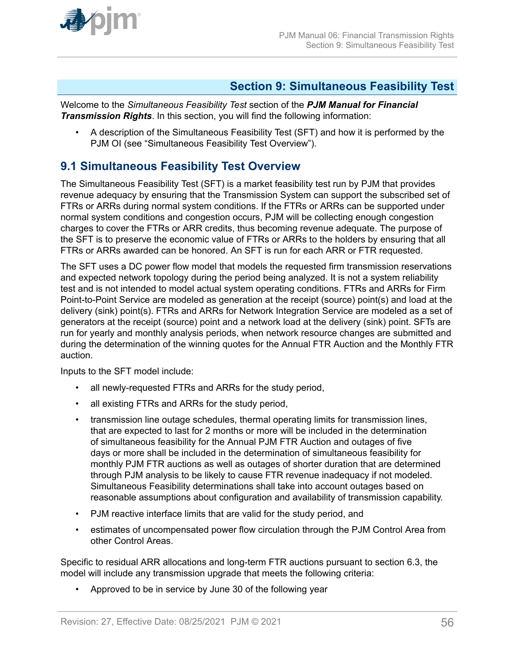<span id="page-55-0"></span>

### **Section 9: Simultaneous Feasibility Test**

Welcome to the *Simultaneous Feasibility Test* section of the *PJM Manual for Financial Transmission Rights*. In this section, you will find the following information:

• A description of the Simultaneous Feasibility Test (SFT) and how it is performed by the PJM OI (see "Simultaneous Feasibility Test Overview").

### **9.1 Simultaneous Feasibility Test Overview**

The Simultaneous Feasibility Test (SFT) is a market feasibility test run by PJM that provides revenue adequacy by ensuring that the Transmission System can support the subscribed set of FTRs or ARRs during normal system conditions. If the FTRs or ARRs can be supported under normal system conditions and congestion occurs, PJM will be collecting enough congestion charges to cover the FTRs or ARR credits, thus becoming revenue adequate. The purpose of the SFT is to preserve the economic value of FTRs or ARRs to the holders by ensuring that all FTRs or ARRs awarded can be honored. An SFT is run for each ARR or FTR requested.

The SFT uses a DC power flow model that models the requested firm transmission reservations and expected network topology during the period being analyzed. It is not a system reliability test and is not intended to model actual system operating conditions. FTRs and ARRs for Firm Point-to-Point Service are modeled as generation at the receipt (source) point(s) and load at the delivery (sink) point(s). FTRs and ARRs for Network Integration Service are modeled as a set of generators at the receipt (source) point and a network load at the delivery (sink) point. SFTs are run for yearly and monthly analysis periods, when network resource changes are submitted and during the determination of the winning quotes for the Annual FTR Auction and the Monthly FTR auction.

Inputs to the SFT model include:

- all newly-requested FTRs and ARRs for the study period,
- all existing FTRs and ARRs for the study period,
- transmission line outage schedules, thermal operating limits for transmission lines, that are expected to last for 2 months or more will be included in the determination of simultaneous feasibility for the Annual PJM FTR Auction and outages of five days or more shall be included in the determination of simultaneous feasibility for monthly PJM FTR auctions as well as outages of shorter duration that are determined through PJM analysis to be likely to cause FTR revenue inadequacy if not modeled. Simultaneous Feasibility determinations shall take into account outages based on reasonable assumptions about configuration and availability of transmission capability.
- PJM reactive interface limits that are valid for the study period, and
- estimates of uncompensated power flow circulation through the PJM Control Area from other Control Areas.

Specific to residual ARR allocations and long-term FTR auctions pursuant to section 6.3, the model will include any transmission upgrade that meets the following criteria:

• Approved to be in service by June 30 of the following year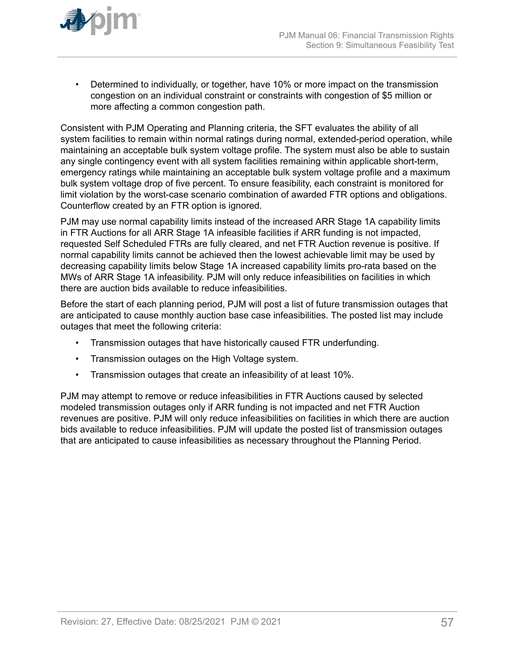

• Determined to individually, or together, have 10% or more impact on the transmission congestion on an individual constraint or constraints with congestion of \$5 million or more affecting a common congestion path.

Consistent with PJM Operating and Planning criteria, the SFT evaluates the ability of all system facilities to remain within normal ratings during normal, extended-period operation, while maintaining an acceptable bulk system voltage profile. The system must also be able to sustain any single contingency event with all system facilities remaining within applicable short-term, emergency ratings while maintaining an acceptable bulk system voltage profile and a maximum bulk system voltage drop of five percent. To ensure feasibility, each constraint is monitored for limit violation by the worst-case scenario combination of awarded FTR options and obligations. Counterflow created by an FTR option is ignored.

PJM may use normal capability limits instead of the increased ARR Stage 1A capability limits in FTR Auctions for all ARR Stage 1A infeasible facilities if ARR funding is not impacted, requested Self Scheduled FTRs are fully cleared, and net FTR Auction revenue is positive. If normal capability limits cannot be achieved then the lowest achievable limit may be used by decreasing capability limits below Stage 1A increased capability limits pro-rata based on the MWs of ARR Stage 1A infeasibility. PJM will only reduce infeasibilities on facilities in which there are auction bids available to reduce infeasibilities.

Before the start of each planning period, PJM will post a list of future transmission outages that are anticipated to cause monthly auction base case infeasibilities. The posted list may include outages that meet the following criteria:

- Transmission outages that have historically caused FTR underfunding.
- Transmission outages on the High Voltage system.
- Transmission outages that create an infeasibility of at least 10%.

PJM may attempt to remove or reduce infeasibilities in FTR Auctions caused by selected modeled transmission outages only if ARR funding is not impacted and net FTR Auction revenues are positive. PJM will only reduce infeasibilities on facilities in which there are auction bids available to reduce infeasibilities. PJM will update the posted list of transmission outages that are anticipated to cause infeasibilities as necessary throughout the Planning Period.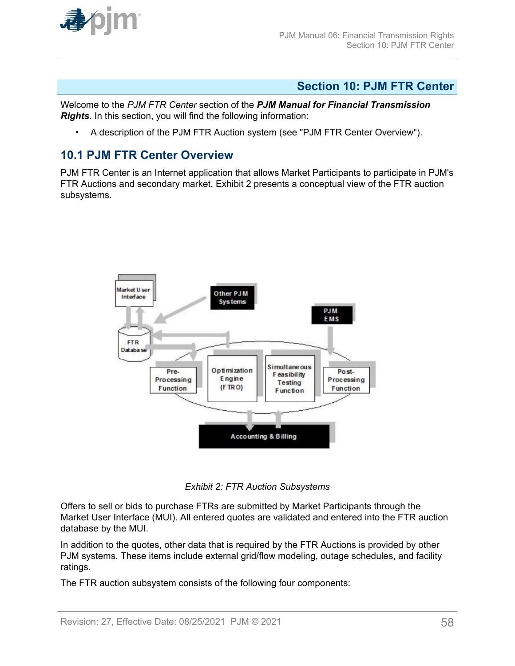<span id="page-57-0"></span>

### **Section 10: PJM FTR Center**

Welcome to the *PJM FTR Center* section of the *PJM Manual for Financial Transmission Rights*. In this section, you will find the following information:

• A description of the PJM FTR Auction system (see "PJM FTR Center Overview").

#### **10.1 PJM FTR Center Overview**

PJM FTR Center is an Internet application that allows Market Participants to participate in PJM's FTR Auctions and secondary market. Exhibit 2 presents a conceptual view of the FTR auction subsystems.



*Exhibit 2: FTR Auction Subsystems*

Offers to sell or bids to purchase FTRs are submitted by Market Participants through the Market User Interface (MUI). All entered quotes are validated and entered into the FTR auction database by the MUI.

In addition to the quotes, other data that is required by the FTR Auctions is provided by other PJM systems. These items include external grid/flow modeling, outage schedules, and facility ratings.

The FTR auction subsystem consists of the following four components: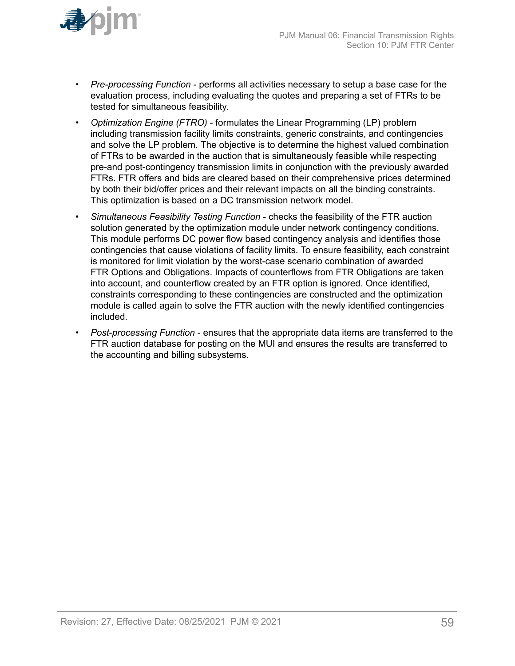

- *Pre-processing Function* performs all activities necessary to setup a base case for the evaluation process, including evaluating the quotes and preparing a set of FTRs to be tested for simultaneous feasibility.
- *Optimization Engine (FTRO)* formulates the Linear Programming (LP) problem including transmission facility limits constraints, generic constraints, and contingencies and solve the LP problem. The objective is to determine the highest valued combination of FTRs to be awarded in the auction that is simultaneously feasible while respecting pre-and post-contingency transmission limits in conjunction with the previously awarded FTRs. FTR offers and bids are cleared based on their comprehensive prices determined by both their bid/offer prices and their relevant impacts on all the binding constraints. This optimization is based on a DC transmission network model.
- *Simultaneous Feasibility Testing Function* checks the feasibility of the FTR auction solution generated by the optimization module under network contingency conditions. This module performs DC power flow based contingency analysis and identifies those contingencies that cause violations of facility limits. To ensure feasibility, each constraint is monitored for limit violation by the worst-case scenario combination of awarded FTR Options and Obligations. Impacts of counterflows from FTR Obligations are taken into account, and counterflow created by an FTR option is ignored. Once identified, constraints corresponding to these contingencies are constructed and the optimization module is called again to solve the FTR auction with the newly identified contingencies included.
- *Post*-*processing Function* ensures that the appropriate data items are transferred to the FTR auction database for posting on the MUI and ensures the results are transferred to the accounting and billing subsystems.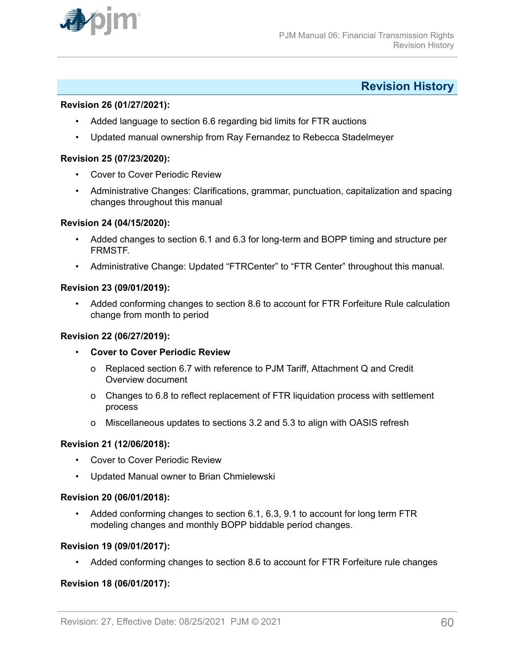<span id="page-59-0"></span>

### **Revision History**

#### **Revision 26 (01/27/2021):**

- Added language to section 6.6 regarding bid limits for FTR auctions
- Updated manual ownership from Ray Fernandez to Rebecca Stadelmeyer

#### **Revision 25 (07/23/2020):**

- Cover to Cover Periodic Review
- Administrative Changes: Clarifications, grammar, punctuation, capitalization and spacing changes throughout this manual

#### **Revision 24 (04/15/2020):**

- Added changes to section 6.1 and 6.3 for long-term and BOPP timing and structure per FRMSTF.
- Administrative Change: Updated "FTRCenter" to "FTR Center" throughout this manual.

#### **Revision 23 (09/01/2019):**

• Added conforming changes to section 8.6 to account for FTR Forfeiture Rule calculation change from month to period

#### **Revision 22 (06/27/2019):**

- **Cover to Cover Periodic Review**
	- o Replaced section 6.7 with reference to PJM Tariff, Attachment Q and Credit Overview document
	- o Changes to 6.8 to reflect replacement of FTR liquidation process with settlement process
	- o Miscellaneous updates to sections 3.2 and 5.3 to align with OASIS refresh

#### **Revision 21 (12/06/2018):**

- Cover to Cover Periodic Review
- Updated Manual owner to Brian Chmielewski

#### **Revision 20 (06/01/2018):**

• Added conforming changes to section 6.1, 6.3, 9.1 to account for long term FTR modeling changes and monthly BOPP biddable period changes.

#### **Revision 19 (09/01/2017):**

• Added conforming changes to section 8.6 to account for FTR Forfeiture rule changes

#### **Revision 18 (06/01/2017):**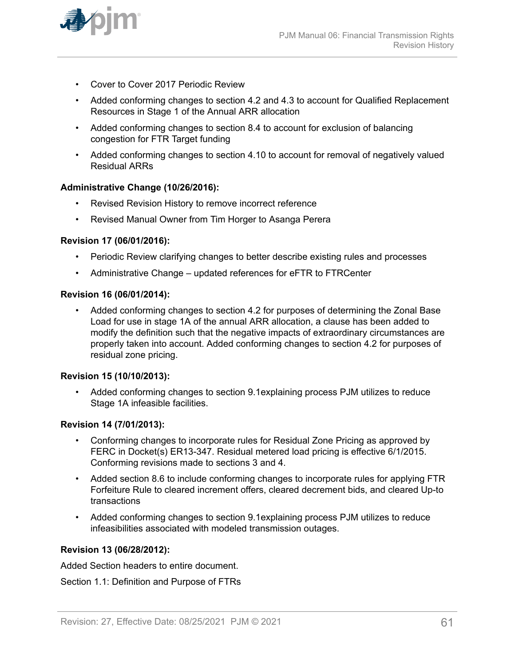

- Cover to Cover 2017 Periodic Review
- Added conforming changes to section 4.2 and 4.3 to account for Qualified Replacement Resources in Stage 1 of the Annual ARR allocation
- Added conforming changes to section 8.4 to account for exclusion of balancing congestion for FTR Target funding
- Added conforming changes to section 4.10 to account for removal of negatively valued Residual ARRs

#### **Administrative Change (10/26/2016):**

- Revised Revision History to remove incorrect reference
- Revised Manual Owner from Tim Horger to Asanga Perera

#### **Revision 17 (06/01/2016):**

- Periodic Review clarifying changes to better describe existing rules and processes
- Administrative Change updated references for eFTR to FTRCenter

#### **Revision 16 (06/01/2014):**

• Added conforming changes to section 4.2 for purposes of determining the Zonal Base Load for use in stage 1A of the annual ARR allocation, a clause has been added to modify the definition such that the negative impacts of extraordinary circumstances are properly taken into account. Added conforming changes to section 4.2 for purposes of residual zone pricing.

#### **Revision 15 (10/10/2013):**

• Added conforming changes to section 9.1explaining process PJM utilizes to reduce Stage 1A infeasible facilities.

#### **Revision 14 (7/01/2013):**

- Conforming changes to incorporate rules for Residual Zone Pricing as approved by FERC in Docket(s) ER13-347. Residual metered load pricing is effective 6/1/2015. Conforming revisions made to sections 3 and 4.
- Added section 8.6 to include conforming changes to incorporate rules for applying FTR Forfeiture Rule to cleared increment offers, cleared decrement bids, and cleared Up-to transactions
- Added conforming changes to section 9.1explaining process PJM utilizes to reduce infeasibilities associated with modeled transmission outages.

#### **Revision 13 (06/28/2012):**

Added Section headers to entire document.

Section 1.1: Definition and Purpose of FTRs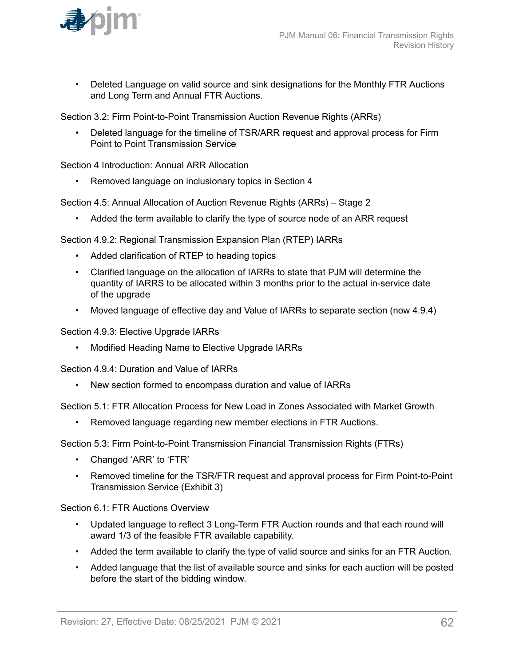

• Deleted Language on valid source and sink designations for the Monthly FTR Auctions and Long Term and Annual FTR Auctions.

Section 3.2: Firm Point-to-Point Transmission Auction Revenue Rights (ARRs)

• Deleted language for the timeline of TSR/ARR request and approval process for Firm Point to Point Transmission Service

Section 4 Introduction: Annual ARR Allocation

• Removed language on inclusionary topics in Section 4

Section 4.5: Annual Allocation of Auction Revenue Rights (ARRs) – Stage 2

• Added the term available to clarify the type of source node of an ARR request

Section 4.9.2: Regional Transmission Expansion Plan (RTEP) IARRs

- Added clarification of RTEP to heading topics
- Clarified language on the allocation of IARRs to state that PJM will determine the quantity of IARRS to be allocated within 3 months prior to the actual in-service date of the upgrade
- Moved language of effective day and Value of IARRs to separate section (now 4.9.4)

Section 4.9.3: Elective Upgrade IARRs

• Modified Heading Name to Elective Upgrade IARRs

Section 4.9.4: Duration and Value of IARRs

• New section formed to encompass duration and value of IARRs

Section 5.1: FTR Allocation Process for New Load in Zones Associated with Market Growth

• Removed language regarding new member elections in FTR Auctions.

Section 5.3: Firm Point-to-Point Transmission Financial Transmission Rights (FTRs)

- Changed 'ARR' to 'FTR'
- Removed timeline for the TSR/FTR request and approval process for Firm Point-to-Point Transmission Service (Exhibit 3)

Section 6.1: FTR Auctions Overview

- Updated language to reflect 3 Long-Term FTR Auction rounds and that each round will award 1/3 of the feasible FTR available capability.
- Added the term available to clarify the type of valid source and sinks for an FTR Auction.
- Added language that the list of available source and sinks for each auction will be posted before the start of the bidding window.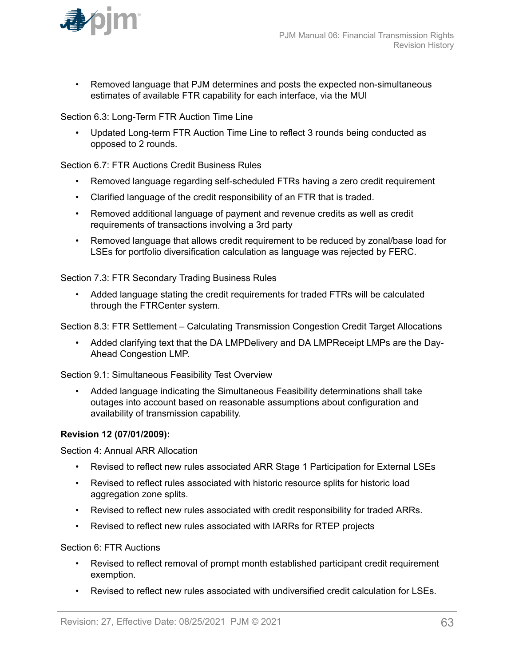

• Removed language that PJM determines and posts the expected non-simultaneous estimates of available FTR capability for each interface, via the MUI

Section 6.3: Long-Term FTR Auction Time Line

• Updated Long-term FTR Auction Time Line to reflect 3 rounds being conducted as opposed to 2 rounds.

Section 6.7: FTR Auctions Credit Business Rules

- Removed language regarding self-scheduled FTRs having a zero credit requirement
- Clarified language of the credit responsibility of an FTR that is traded.
- Removed additional language of payment and revenue credits as well as credit requirements of transactions involving a 3rd party
- Removed language that allows credit requirement to be reduced by zonal/base load for LSEs for portfolio diversification calculation as language was rejected by FERC.

Section 7.3: FTR Secondary Trading Business Rules

• Added language stating the credit requirements for traded FTRs will be calculated through the FTRCenter system.

Section 8.3: FTR Settlement – Calculating Transmission Congestion Credit Target Allocations

• Added clarifying text that the DA LMPDelivery and DA LMPReceipt LMPs are the Day-Ahead Congestion LMP.

Section 9.1: Simultaneous Feasibility Test Overview

• Added language indicating the Simultaneous Feasibility determinations shall take outages into account based on reasonable assumptions about configuration and availability of transmission capability.

#### **Revision 12 (07/01/2009):**

Section 4: Annual ARR Allocation

- Revised to reflect new rules associated ARR Stage 1 Participation for External LSEs
- Revised to reflect rules associated with historic resource splits for historic load aggregation zone splits.
- Revised to reflect new rules associated with credit responsibility for traded ARRs.
- Revised to reflect new rules associated with IARRs for RTEP projects

Section 6: FTR Auctions

- Revised to reflect removal of prompt month established participant credit requirement exemption.
- Revised to reflect new rules associated with undiversified credit calculation for LSEs.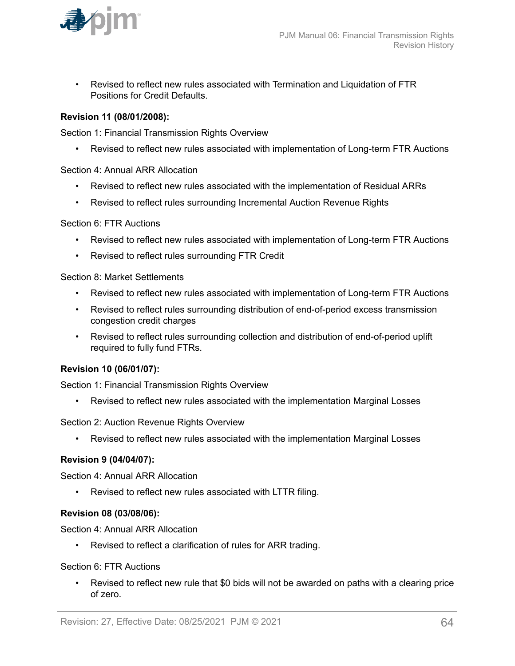

• Revised to reflect new rules associated with Termination and Liquidation of FTR Positions for Credit Defaults.

#### **Revision 11 (08/01/2008):**

Section 1: Financial Transmission Rights Overview

• Revised to reflect new rules associated with implementation of Long-term FTR Auctions

#### Section 4: Annual ARR Allocation

- Revised to reflect new rules associated with the implementation of Residual ARRs
- Revised to reflect rules surrounding Incremental Auction Revenue Rights

#### Section 6: FTR Auctions

- Revised to reflect new rules associated with implementation of Long-term FTR Auctions
- Revised to reflect rules surrounding FTR Credit

#### Section 8: Market Settlements

- Revised to reflect new rules associated with implementation of Long-term FTR Auctions
- Revised to reflect rules surrounding distribution of end-of-period excess transmission congestion credit charges
- Revised to reflect rules surrounding collection and distribution of end-of-period uplift required to fully fund FTRs.

#### **Revision 10 (06/01/07):**

Section 1: Financial Transmission Rights Overview

• Revised to reflect new rules associated with the implementation Marginal Losses

Section 2: Auction Revenue Rights Overview

• Revised to reflect new rules associated with the implementation Marginal Losses

#### **Revision 9 (04/04/07):**

Section 4: Annual ARR Allocation

• Revised to reflect new rules associated with LTTR filing.

#### **Revision 08 (03/08/06):**

Section 4: Annual ARR Allocation

• Revised to reflect a clarification of rules for ARR trading.

#### Section 6: FTR Auctions

• Revised to reflect new rule that \$0 bids will not be awarded on paths with a clearing price of zero.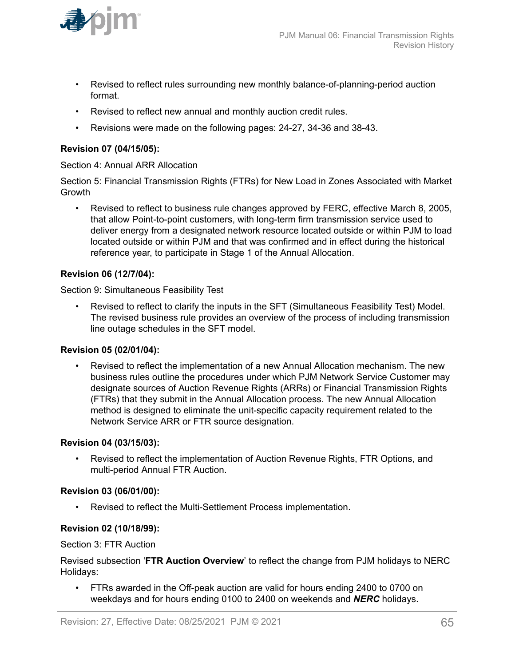

- Revised to reflect rules surrounding new monthly balance-of-planning-period auction format.
- Revised to reflect new annual and monthly auction credit rules.
- Revisions were made on the following pages: 24-27, 34-36 and 38-43.

#### **Revision 07 (04/15/05):**

#### Section 4: Annual ARR Allocation

Section 5: Financial Transmission Rights (FTRs) for New Load in Zones Associated with Market Growth

• Revised to reflect to business rule changes approved by FERC, effective March 8, 2005, that allow Point-to-point customers, with long-term firm transmission service used to deliver energy from a designated network resource located outside or within PJM to load located outside or within PJM and that was confirmed and in effect during the historical reference year, to participate in Stage 1 of the Annual Allocation.

#### **Revision 06 (12/7/04):**

Section 9: Simultaneous Feasibility Test

• Revised to reflect to clarify the inputs in the SFT (Simultaneous Feasibility Test) Model. The revised business rule provides an overview of the process of including transmission line outage schedules in the SFT model.

#### **Revision 05 (02/01/04):**

• Revised to reflect the implementation of a new Annual Allocation mechanism. The new business rules outline the procedures under which PJM Network Service Customer may designate sources of Auction Revenue Rights (ARRs) or Financial Transmission Rights (FTRs) that they submit in the Annual Allocation process. The new Annual Allocation method is designed to eliminate the unit-specific capacity requirement related to the Network Service ARR or FTR source designation.

#### **Revision 04 (03/15/03):**

• Revised to reflect the implementation of Auction Revenue Rights, FTR Options, and multi-period Annual FTR Auction.

#### **Revision 03 (06/01/00):**

• Revised to reflect the Multi-Settlement Process implementation.

#### **Revision 02 (10/18/99):**

Section 3: FTR Auction

Revised subsection '**FTR Auction Overview**' to reflect the change from PJM holidays to NERC Holidays:

• FTRs awarded in the Off-peak auction are valid for hours ending 2400 to 0700 on weekdays and for hours ending 0100 to 2400 on weekends and *NERC* holidays.